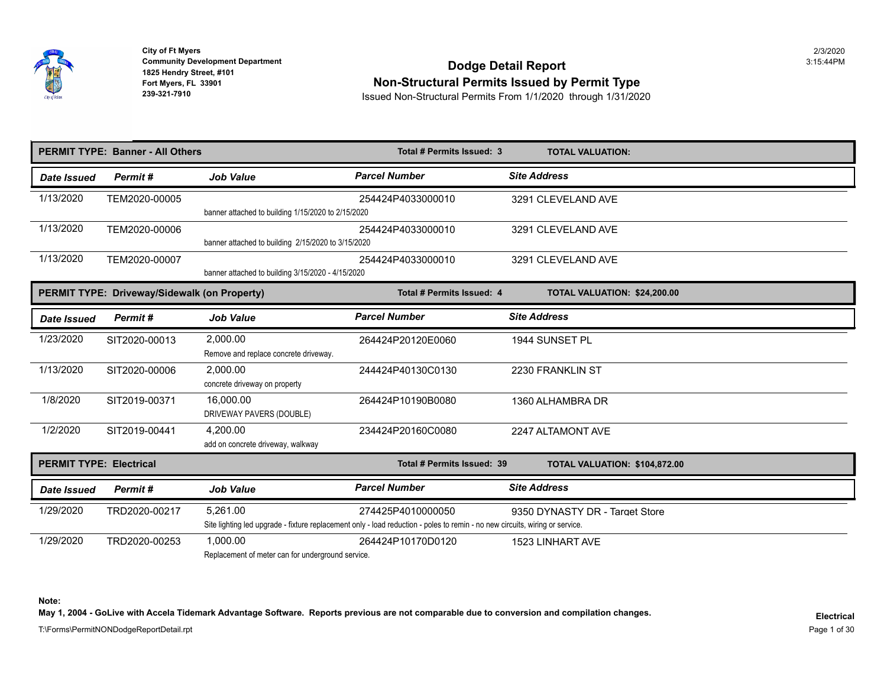

## **Community Development Department**<br>1825 Hendry Street, #101 **Non-Structural Permits Issued by Permit Type**

**239-321-7910** Issued Non-Structural Permits From 1/1/2020 through 1/31/2020

|                                | <b>PERMIT TYPE: Banner - All Others</b>      |                                                               | Total # Permits Issued: 3                                                                                                                         | <b>TOTAL VALUATION:</b>        |
|--------------------------------|----------------------------------------------|---------------------------------------------------------------|---------------------------------------------------------------------------------------------------------------------------------------------------|--------------------------------|
| Date Issued                    | Permit#                                      | <b>Job Value</b>                                              | <b>Parcel Number</b>                                                                                                                              | <b>Site Address</b>            |
| 1/13/2020                      | TEM2020-00005                                | banner attached to building 1/15/2020 to 2/15/2020            | 254424P4033000010                                                                                                                                 | 3291 CLEVELAND AVE             |
| 1/13/2020                      | TEM2020-00006                                | banner attached to building 2/15/2020 to 3/15/2020            | 254424P4033000010                                                                                                                                 | 3291 CLEVELAND AVE             |
| 1/13/2020                      | TEM2020-00007                                | banner attached to building 3/15/2020 - 4/15/2020             | 254424P4033000010                                                                                                                                 | 3291 CLEVELAND AVE             |
|                                | PERMIT TYPE: Driveway/Sidewalk (on Property) |                                                               | Total # Permits Issued: 4                                                                                                                         | TOTAL VALUATION: \$24,200.00   |
| <b>Date Issued</b>             | Permit#                                      | <b>Job Value</b>                                              | <b>Parcel Number</b>                                                                                                                              | <b>Site Address</b>            |
| 1/23/2020                      | SIT2020-00013                                | 2,000.00<br>Remove and replace concrete driveway.             | 264424P20120E0060                                                                                                                                 | 1944 SUNSET PL                 |
| 1/13/2020                      | SIT2020-00006                                | 2,000.00<br>concrete driveway on property                     | 244424P40130C0130                                                                                                                                 | 2230 FRANKLIN ST               |
| 1/8/2020                       | SIT2019-00371                                | 16,000.00<br>DRIVEWAY PAVERS (DOUBLE)                         | 264424P10190B0080                                                                                                                                 | 1360 ALHAMBRA DR               |
| 1/2/2020                       | SIT2019-00441                                | 4,200.00<br>add on concrete driveway, walkway                 | 234424P20160C0080                                                                                                                                 | 2247 ALTAMONT AVE              |
| <b>PERMIT TYPE: Electrical</b> |                                              |                                                               | Total # Permits Issued: 39                                                                                                                        | TOTAL VALUATION: \$104,872.00  |
| Date Issued                    | Permit#                                      | <b>Job Value</b>                                              | <b>Parcel Number</b>                                                                                                                              | <b>Site Address</b>            |
| 1/29/2020                      | TRD2020-00217                                | 5.261.00                                                      | 274425P4010000050<br>Site lighting led upgrade - fixture replacement only - load reduction - poles to remin - no new circuits, wiring or service. | 9350 DYNASTY DR - Target Store |
| 1/29/2020                      | TRD2020-00253                                | 1,000.00<br>Replacement of meter can for underground service. | 264424P10170D0120                                                                                                                                 | <b>1523 LINHART AVE</b>        |

**Note: May 1, 2004 - GoLive with Accela Tidemark Advantage Software. Reports previous are not comparable due to conversion and compilation changes.**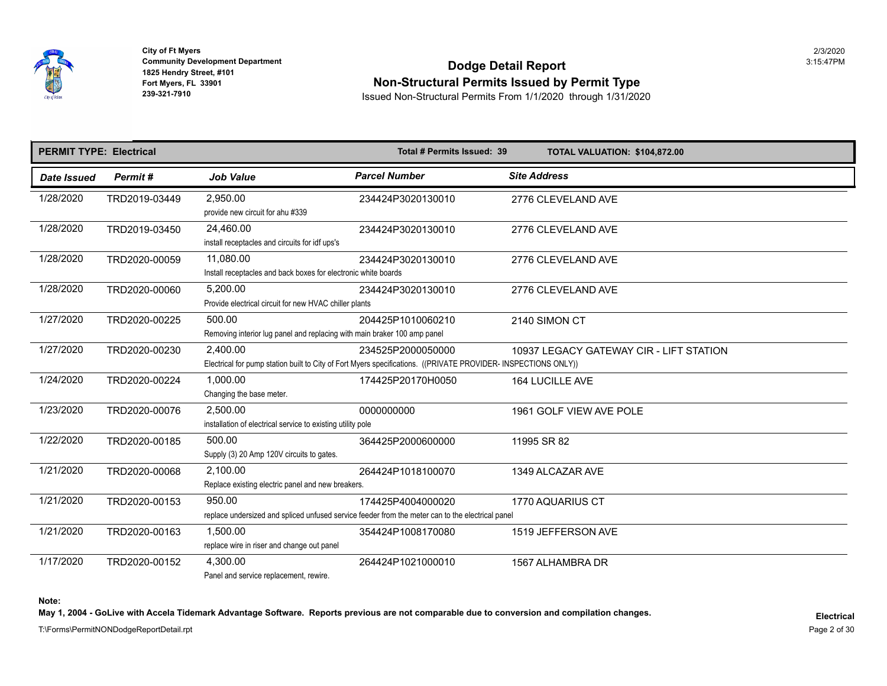

## **Community Development Department**<br>1825 Hendry Street, #101 **Non-Structural Permits Issued by Permit Type**

**239-321-7910** Issued Non-Structural Permits From 1/1/2020 through 1/31/2020

| <b>PERMIT TYPE: Electrical</b> |               |                                                                                    | Total # Permits Issued: 39                                                                                                          | TOTAL VALUATION: \$104,872.00   |
|--------------------------------|---------------|------------------------------------------------------------------------------------|-------------------------------------------------------------------------------------------------------------------------------------|---------------------------------|
| <b>Date Issued</b>             | Permit#       | <b>Job Value</b>                                                                   | <b>Parcel Number</b>                                                                                                                | <b>Site Address</b>             |
| 1/28/2020                      | TRD2019-03449 | 2,950.00<br>provide new circuit for ahu #339                                       | 234424P3020130010                                                                                                                   | 2776 CLEVELAND AVE              |
| 1/28/2020                      | TRD2019-03450 | 24,460.00<br>install receptacles and circuits for idf ups's                        | 234424P3020130010                                                                                                                   | 2776 CLEVELAND AVE              |
| 1/28/2020                      | TRD2020-00059 | 11,080.00<br>Install receptacles and back boxes for electronic white boards        | 234424P3020130010                                                                                                                   | 2776 CLEVELAND AVE              |
| 1/28/2020                      | TRD2020-00060 | 5,200.00<br>Provide electrical circuit for new HVAC chiller plants                 | 234424P3020130010                                                                                                                   | 2776 CLEVELAND AVE              |
| 1/27/2020                      | TRD2020-00225 | 500.00<br>Removing interior lug panel and replacing with main braker 100 amp panel | 204425P1010060210                                                                                                                   | 2140 SIMON CT                   |
| 1/27/2020                      | TRD2020-00230 | 2,400.00                                                                           | 234525P2000050000<br>Electrical for pump station built to City of Fort Myers specifications. ((PRIVATE PROVIDER- INSPECTIONS ONLY)) | 10937 LEGACY GATEWAY CIR - LIFT |
| 1/24/2020                      | TRD2020-00224 | 1,000.00<br>Changing the base meter.                                               | 174425P20170H0050                                                                                                                   | <b>164 LUCILLE AVE</b>          |
| 1/23/2020                      | TRD2020-00076 | 2,500.00<br>installation of electrical service to existing utility pole            | 0000000000                                                                                                                          | 1961 GOLF VIEW AVE POLE         |
| 1/22/2020                      | TRD2020-00185 | 500.00<br>Supply (3) 20 Amp 120V circuits to gates.                                | 364425P2000600000                                                                                                                   | 11995 SR 82                     |
| 1/21/2020                      | TRD2020-00068 | 2,100.00<br>Replace existing electric panel and new breakers.                      | 264424P1018100070                                                                                                                   | 1349 ALCAZAR AVE                |
| 1/21/2020                      | TRD2020-00153 | 950.00                                                                             | 174425P4004000020<br>replace undersized and spliced unfused service feeder from the meter can to the electrical panel               | 1770 AQUARIUS CT                |
| 1/21/2020                      | TRD2020-00163 | 1.500.00<br>replace wire in riser and change out panel                             | 354424P1008170080                                                                                                                   | 1519 JEFFERSON AVE              |
| 1/17/2020                      | TRD2020-00152 | 4,300.00<br>Panel and service replacement, rewire.                                 | 264424P1021000010                                                                                                                   | 1567 ALHAMBRA DR                |

**Note:** 

May 1, 2004 - GoLive with Accela Tidemark Advantage Software. Reports previous are not comparable due to conversion and compilation changes.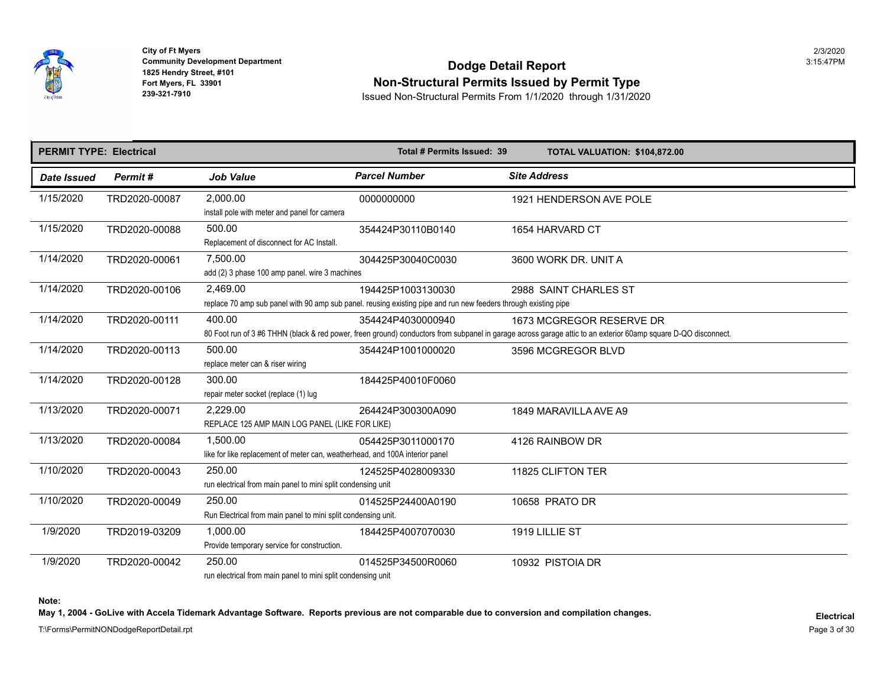

**1992 - All Analytic Propriet 1825 Hendry Street, #101<br><b>Fort Myers, FL 33901<br>239-321-7910 City of Ft Myers** 2/3/2020

## **Community Development Department**<br>1825 Hendry Street, #101 **Non-Structural Permits Issued by Permit Type**

**239-321-7910** Issued Non-Structural Permits From 1/1/2020 through 1/31/2020

| <b>PERMIT TYPE: Electrical</b> |               |                                                                                          | Total # Permits Issued: 39                                                                                                           | <b>TOTAL VALUATION: \$104,872.00</b>                                                                                                                                          |
|--------------------------------|---------------|------------------------------------------------------------------------------------------|--------------------------------------------------------------------------------------------------------------------------------------|-------------------------------------------------------------------------------------------------------------------------------------------------------------------------------|
| <b>Date Issued</b>             | Permit#       | <b>Job Value</b>                                                                         | <b>Parcel Number</b>                                                                                                                 | <b>Site Address</b>                                                                                                                                                           |
| 1/15/2020                      | TRD2020-00087 | 2,000.00<br>install pole with meter and panel for camera                                 | 0000000000                                                                                                                           | 1921 HENDERSON AVE POLE                                                                                                                                                       |
| 1/15/2020                      | TRD2020-00088 | 500.00<br>Replacement of disconnect for AC Install.                                      | 354424P30110B0140                                                                                                                    | 1654 HARVARD CT                                                                                                                                                               |
| 1/14/2020                      | TRD2020-00061 | 7,500.00<br>add (2) 3 phase 100 amp panel. wire 3 machines                               | 304425P30040C0030                                                                                                                    | 3600 WORK DR. UNIT A                                                                                                                                                          |
| 1/14/2020                      | TRD2020-00106 | 2,469.00                                                                                 | 194425P1003130030<br>replace 70 amp sub panel with 90 amp sub panel. reusing existing pipe and run new feeders through existing pipe | 2988 SAINT CHARLES ST                                                                                                                                                         |
| 1/14/2020                      | TRD2020-00111 | 400.00                                                                                   | 354424P4030000940                                                                                                                    | 1673 MCGREGOR RESERVE DR<br>80 Foot run of 3 #6 THHN (black & red power, freen ground) conductors from subpanel in garage across garage attic to an exterior 60amp square D-C |
| 1/14/2020                      | TRD2020-00113 | 500.00<br>replace meter can & riser wiring                                               | 354424P1001000020                                                                                                                    | 3596 MCGREGOR BLVD                                                                                                                                                            |
| 1/14/2020                      | TRD2020-00128 | 300.00<br>repair meter socket (replace (1) lug                                           | 184425P40010F0060                                                                                                                    |                                                                                                                                                                               |
| 1/13/2020                      | TRD2020-00071 | 2,229.00<br>REPLACE 125 AMP MAIN LOG PANEL (LIKE FOR LIKE)                               | 264424P300300A090                                                                                                                    | 1849 MARAVILLA AVE A9                                                                                                                                                         |
| 1/13/2020                      | TRD2020-00084 | 1,500.00<br>like for like replacement of meter can, weatherhead, and 100A interior panel | 054425P3011000170                                                                                                                    | 4126 RAINBOW DR                                                                                                                                                               |
| 1/10/2020                      | TRD2020-00043 | 250.00<br>run electrical from main panel to mini split condensing unit                   | 124525P4028009330                                                                                                                    | 11825 CLIFTON TER                                                                                                                                                             |
| 1/10/2020                      | TRD2020-00049 | 250.00<br>Run Electrical from main panel to mini split condensing unit.                  | 014525P24400A0190                                                                                                                    | 10658 PRATO DR                                                                                                                                                                |
| 1/9/2020                       | TRD2019-03209 | 1,000.00<br>Provide temporary service for construction.                                  | 184425P4007070030                                                                                                                    | 1919 LILLIE ST                                                                                                                                                                |
| 1/9/2020                       | TRD2020-00042 | 250.00<br>run electrical from main panel to mini split condensing unit                   | 014525P34500R0060                                                                                                                    | 10932 PISTOIA DR                                                                                                                                                              |

**Note:** 

May 1, 2004 - GoLive with Accela Tidemark Advantage Software. Reports previous are not comparable due to conversion and compilation changes.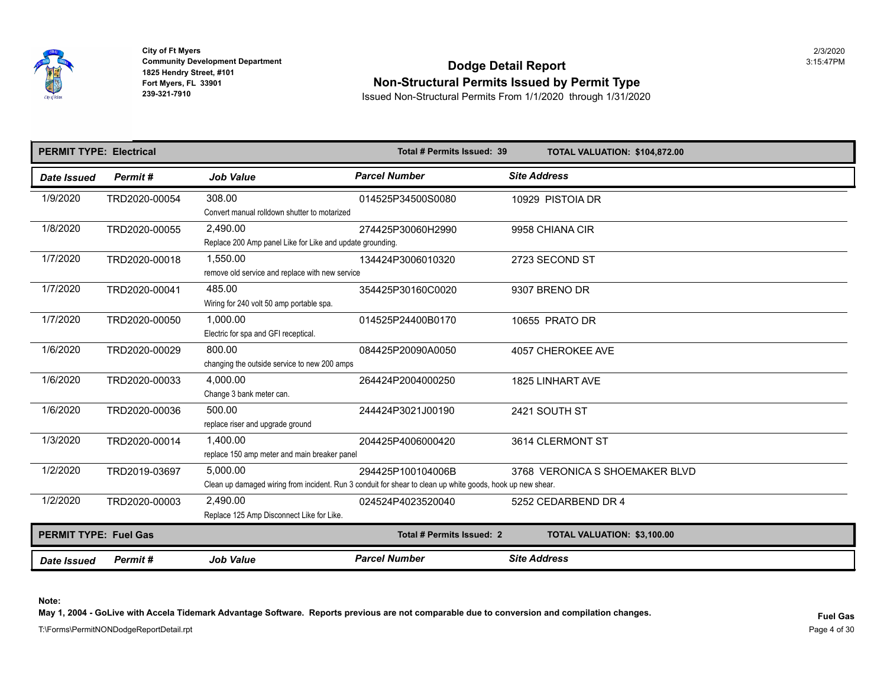

## **Community Development Department**<br>1825 Hendry Street, #101 **Non-Structural Permits Issued by Permit Type**

**239-321-7910** Issued Non-Structural Permits From 1/1/2020 through 1/31/2020

| <b>PERMIT TYPE: Electrical</b> |               |                                                                       | Total # Permits Issued: 39                                                                                                      | <b>TOTAL VALUATION: \$104,872.00</b> |
|--------------------------------|---------------|-----------------------------------------------------------------------|---------------------------------------------------------------------------------------------------------------------------------|--------------------------------------|
| Date Issued                    | Permit#       | <b>Job Value</b>                                                      | <b>Parcel Number</b>                                                                                                            | <b>Site Address</b>                  |
| 1/9/2020                       | TRD2020-00054 | 308.00<br>Convert manual rolldown shutter to motarized                | 014525P34500S0080                                                                                                               | 10929 PISTOIA DR                     |
| 1/8/2020                       | TRD2020-00055 | 2.490.00<br>Replace 200 Amp panel Like for Like and update grounding. | 274425P30060H2990                                                                                                               | 9958 CHIANA CIR                      |
| 1/7/2020                       | TRD2020-00018 | 1.550.00<br>remove old service and replace with new service           | 134424P3006010320                                                                                                               | 2723 SECOND ST                       |
| 1/7/2020                       | TRD2020-00041 | 485.00<br>Wiring for 240 volt 50 amp portable spa.                    | 354425P30160C0020                                                                                                               | 9307 BRENO DR                        |
| 1/7/2020                       | TRD2020-00050 | 1,000.00<br>Electric for spa and GFI receptical.                      | 014525P24400B0170                                                                                                               | 10655 PRATO DR                       |
| 1/6/2020                       | TRD2020-00029 | 800.00<br>changing the outside service to new 200 amps                | 084425P20090A0050                                                                                                               | 4057 CHEROKEE AVE                    |
| 1/6/2020                       | TRD2020-00033 | 4.000.00<br>Change 3 bank meter can.                                  | 264424P2004000250                                                                                                               | <b>1825 LINHART AVE</b>              |
| 1/6/2020                       | TRD2020-00036 | 500.00<br>replace riser and upgrade ground                            | 244424P3021J00190                                                                                                               | 2421 SOUTH ST                        |
| 1/3/2020                       | TRD2020-00014 | 1.400.00<br>replace 150 amp meter and main breaker panel              | 204425P4006000420                                                                                                               | 3614 CLERMONT ST                     |
| 1/2/2020                       | TRD2019-03697 | 5,000.00                                                              | 294425P100104006B<br>Clean up damaged wiring from incident. Run 3 conduit for shear to clean up white goods, hook up new shear. | 3768 VERONICA S SHOEMAKER BLV        |
| 1/2/2020                       | TRD2020-00003 | 2,490.00<br>Replace 125 Amp Disconnect Like for Like.                 | 024524P4023520040                                                                                                               | 5252 CEDARBEND DR 4                  |
| <b>PERMIT TYPE: Fuel Gas</b>   |               |                                                                       | Total # Permits Issued: 2                                                                                                       | TOTAL VALUATION: \$3,100.00          |
| <b>Date Issued</b>             | Permit#       | <b>Job Value</b>                                                      | <b>Parcel Number</b>                                                                                                            | <b>Site Address</b>                  |

**Note:** 

May 1, 2004 - GoLive with Accela Tidemark Advantage Software. Reports previous are not comparable due to conversion and compilation changes.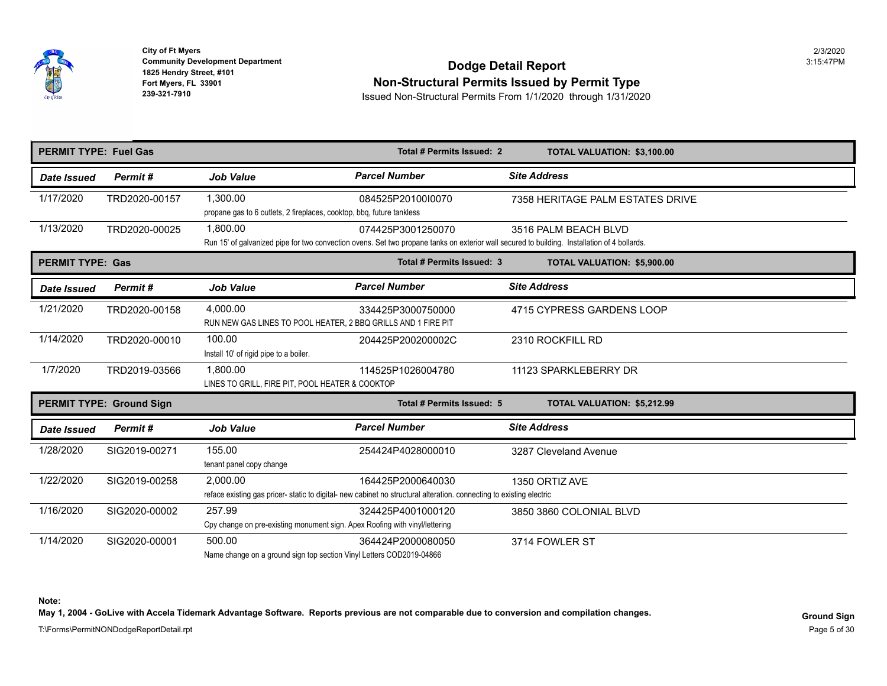

## **Community Development Department**<br>1825 Hendry Street, #101 **Non-Structural Permits Issued by Permit Type**

**239-321-7910** Issued Non-Structural Permits From 1/1/2020 through 1/31/2020

| <b>PERMIT TYPE: Fuel Gas</b> |                                 |                                                                                       | Total # Permits Issued: 2                                                                                                                                         | TOTAL VALUATION: \$3,100.00        |
|------------------------------|---------------------------------|---------------------------------------------------------------------------------------|-------------------------------------------------------------------------------------------------------------------------------------------------------------------|------------------------------------|
| <b>Date Issued</b>           | Permit#                         | <b>Job Value</b>                                                                      | <b>Parcel Number</b>                                                                                                                                              | <b>Site Address</b>                |
| 1/17/2020                    | TRD2020-00157                   | 1,300.00<br>propane gas to 6 outlets, 2 fireplaces, cooktop, bbq, future tankless     | 084525P20100I0070                                                                                                                                                 | 7358 HERITAGE PALM ESTATES DRIV    |
| 1/13/2020                    | TRD2020-00025                   | 1,800.00                                                                              | 074425P3001250070<br>Run 15' of galvanized pipe for two convection ovens. Set two propane tanks on exterior wall secured to building. Installation of 4 bollards. | 3516 PALM BEACH BLVD               |
| <b>PERMIT TYPE: Gas</b>      |                                 |                                                                                       | Total # Permits Issued: 3                                                                                                                                         | <b>TOTAL VALUATION: \$5,900.00</b> |
| Date Issued                  | Permit#                         | <b>Job Value</b>                                                                      | <b>Parcel Number</b>                                                                                                                                              | <b>Site Address</b>                |
| 1/21/2020                    | TRD2020-00158                   | 4,000.00<br>RUN NEW GAS LINES TO POOL HEATER, 2 BBQ GRILLS AND 1 FIRE PIT             | 334425P3000750000                                                                                                                                                 | 4715 CYPRESS GARDENS LOOP          |
| 1/14/2020                    | TRD2020-00010                   | 100.00<br>Install 10' of rigid pipe to a boiler.                                      | 204425P200200002C                                                                                                                                                 | 2310 ROCKFILL RD                   |
| 1/7/2020                     | TRD2019-03566                   | 1.800.00<br>LINES TO GRILL, FIRE PIT, POOL HEATER & COOKTOP                           | 114525P1026004780                                                                                                                                                 | 11123 SPARKLEBERRY DR              |
|                              | <b>PERMIT TYPE: Ground Sign</b> |                                                                                       | Total # Permits Issued: 5                                                                                                                                         | <b>TOTAL VALUATION: \$5,212.99</b> |
| Date Issued                  | Permit#                         | <b>Job Value</b>                                                                      | <b>Parcel Number</b>                                                                                                                                              | <b>Site Address</b>                |
| 1/28/2020                    | SIG2019-00271                   | 155.00<br>tenant panel copy change                                                    | 254424P4028000010                                                                                                                                                 | 3287 Cleveland Avenue              |
| 1/22/2020                    | SIG2019-00258                   | 2.000.00                                                                              | 164425P2000640030<br>reface existing gas pricer-static to digital- new cabinet no structural alteration. connecting to existing electric                          | 1350 ORTIZ AVE                     |
| 1/16/2020                    | SIG2020-00002                   | 257.99<br>Cpy change on pre-existing monument sign. Apex Roofing with vinyl/lettering | 324425P4001000120                                                                                                                                                 | 3850 3860 COLONIAL BLVD            |
| 1/14/2020                    | SIG2020-00001                   | 500.00<br>Name change on a ground sign top section Vinyl Letters COD2019-04866        | 364424P2000080050                                                                                                                                                 | 3714 FOWLER ST                     |

**Note:** 

May 1, 2004 - GoLive with Accela Tidemark Advantage Software. Reports previous are not comparable due to conversion and compilation changes.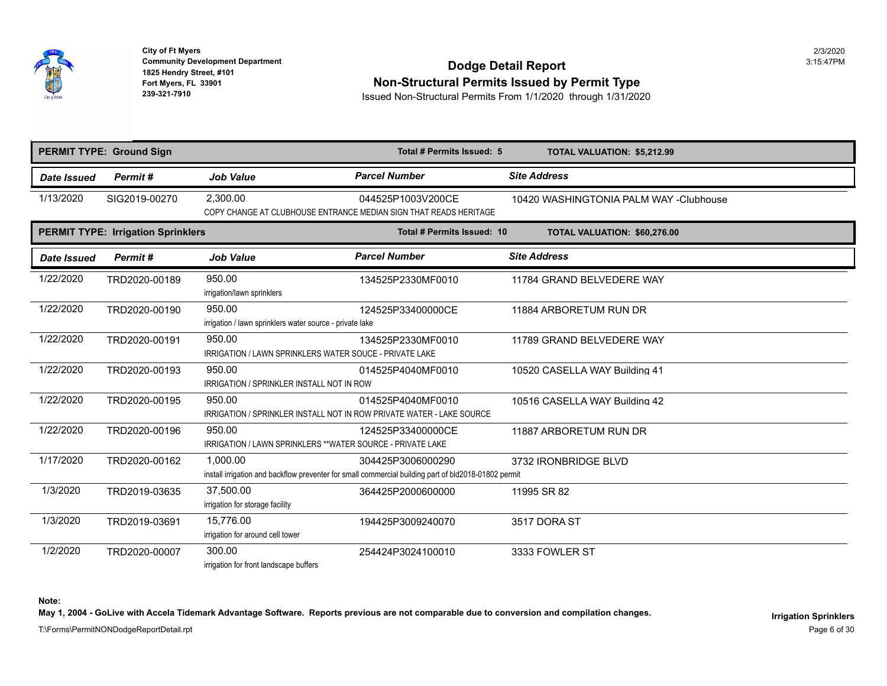

**Fort Myers, FL 33901 City of Ft Myers** 2/3/2020

# **Community Development Department**<br>1825 Hendry Street, #101 **Dodge Detail Report** Fort Myers, FL 33901<br>
Fort Myers, FL 33901<br> **Ron-Structural Permits Issued by Permit Type**<br>
Issued Non-Structural Permits From 1/1/2020 through 1/31/202

**239-321-7910** Issued Non-Structural Permits From 1/1/2020 through 1/31/2020

|             | <b>PERMIT TYPE: Ground Sign</b>           |                                                                       | Total # Permits Issued: 5                                                                                                 | <b>TOTAL VALUATION: \$5,212.99</b> |
|-------------|-------------------------------------------|-----------------------------------------------------------------------|---------------------------------------------------------------------------------------------------------------------------|------------------------------------|
| Date Issued | Permit#                                   | <b>Job Value</b>                                                      | <b>Parcel Number</b>                                                                                                      | <b>Site Address</b>                |
| 1/13/2020   | SIG2019-00270                             | 2,300.00                                                              | 044525P1003V200CE<br>COPY CHANGE AT CLUBHOUSE ENTRANCE MEDIAN SIGN THAT READS HERITAGE                                    | 10420 WASHINGTONIA PALM WAY -O     |
|             | <b>PERMIT TYPE: Irrigation Sprinklers</b> |                                                                       | Total # Permits Issued: 10                                                                                                | TOTAL VALUATION: \$60,276.00       |
| Date Issued | Permit#                                   | <b>Job Value</b>                                                      | <b>Parcel Number</b>                                                                                                      | <b>Site Address</b>                |
| 1/22/2020   | TRD2020-00189                             | 950.00<br>irrigation/lawn sprinklers                                  | 134525P2330MF0010                                                                                                         | 11784 GRAND BELVEDERE WAY          |
| 1/22/2020   | TRD2020-00190                             | 950.00<br>irrigation / lawn sprinklers water source - private lake    | 124525P33400000CE                                                                                                         | 11884 ARBORETUM RUN DR             |
| 1/22/2020   | TRD2020-00191                             | 950.00<br>IRRIGATION / LAWN SPRINKLERS WATER SOUCE - PRIVATE LAKE     | 134525P2330MF0010                                                                                                         | 11789 GRAND BELVEDERE WAY          |
| 1/22/2020   | TRD2020-00193                             | 950.00<br><b>IRRIGATION / SPRINKLER INSTALL NOT IN ROW</b>            | 014525P4040MF0010                                                                                                         | 10520 CASELLA WAY Building 41      |
| 1/22/2020   | TRD2020-00195                             | 950.00                                                                | 014525P4040MF0010<br>IRRIGATION / SPRINKLER INSTALL NOT IN ROW PRIVATE WATER - LAKE SOURCE                                | 10516 CASELLA WAY Building 42      |
| 1/22/2020   | TRD2020-00196                             | 950.00<br>IRRIGATION / LAWN SPRINKLERS ** WATER SOURCE - PRIVATE LAKE | 124525P33400000CE                                                                                                         | 11887 ARBORETUM RUN DR             |
| 1/17/2020   | TRD2020-00162                             | 1,000.00                                                              | 304425P3006000290<br>install irrigation and backflow preventer for small commercial building part of bld2018-01802 permit | 3732 IRONBRIDGE BLVD               |
| 1/3/2020    | TRD2019-03635                             | 37,500.00<br>irrigation for storage facility                          | 364425P2000600000                                                                                                         | 11995 SR 82                        |
| 1/3/2020    | TRD2019-03691                             | 15,776.00<br>irrigation for around cell tower                         | 194425P3009240070                                                                                                         | 3517 DORA ST                       |
| 1/2/2020    | TRD2020-00007                             | 300.00<br>irrigation for front landscape buffers                      | 254424P3024100010                                                                                                         | 3333 FOWLER ST                     |

**Note:** 

May 1, 2004 - GoLive with Accela Tidemark Advantage Software. Reports previous are not comparable due to conversion and compilation changes.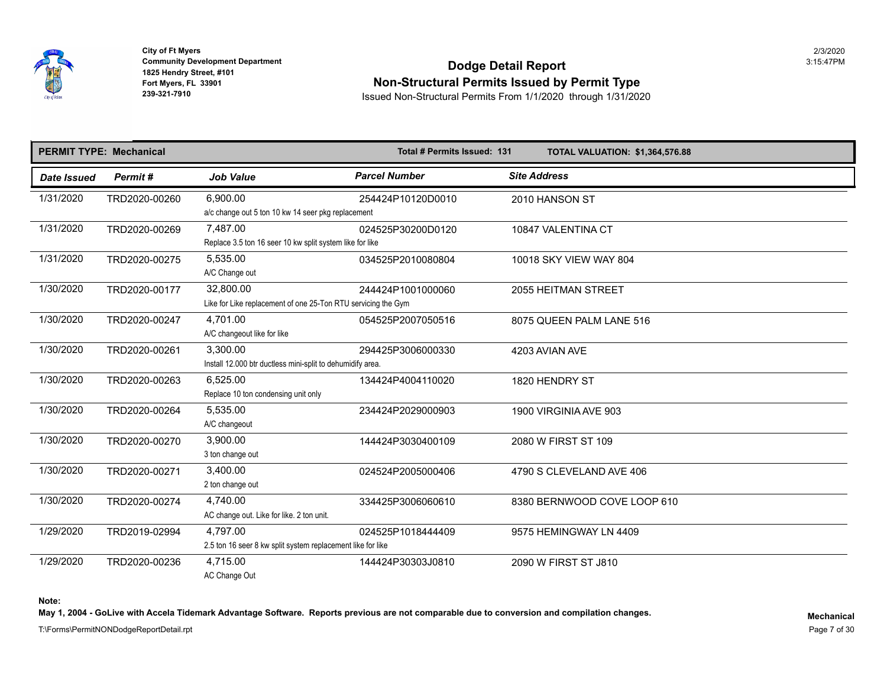

## **Community Development Department**<br>1825 Hendry Street, #101 **Non-Structural Permits Issued by Permit Type**

**239-321-7910** Issued Non-Structural Permits From 1/1/2020 through 1/31/2020

|             | <b>PERMIT TYPE: Mechanical</b> |                                                                | Total # Permits Issued: 131 | <b>TOTAL VALUATION: \$1,364,576.8</b> |
|-------------|--------------------------------|----------------------------------------------------------------|-----------------------------|---------------------------------------|
| Date Issued | Permit#                        | <b>Job Value</b>                                               | <b>Parcel Number</b>        | <b>Site Address</b>                   |
| 1/31/2020   | TRD2020-00260                  | 6,900.00<br>a/c change out 5 ton 10 kw 14 seer pkg replacement | 254424P10120D0010           | 2010 HANSON ST                        |
| 1/31/2020   |                                | 7,487.00                                                       |                             |                                       |
|             | TRD2020-00269                  | Replace 3.5 ton 16 seer 10 kw split system like for like       | 024525P30200D0120           | 10847 VALENTINA CT                    |
| 1/31/2020   | TRD2020-00275                  | 5,535.00                                                       | 034525P2010080804           | 10018 SKY VIEW WAY 804                |
|             |                                | A/C Change out                                                 |                             |                                       |
| 1/30/2020   | TRD2020-00177                  | 32,800.00                                                      | 244424P1001000060           | <b>2055 HEITMAN STREET</b>            |
|             |                                | Like for Like replacement of one 25-Ton RTU servicing the Gym  |                             |                                       |
| 1/30/2020   | TRD2020-00247                  | 4.701.00                                                       | 054525P2007050516           | 8075 QUEEN PALM LANE 516              |
|             |                                | A/C changeout like for like                                    |                             |                                       |
| 1/30/2020   | TRD2020-00261                  | 3,300.00                                                       | 294425P3006000330           | 4203 AVIAN AVE                        |
|             |                                | Install 12.000 btr ductless mini-split to dehumidify area.     |                             |                                       |
| 1/30/2020   | TRD2020-00263                  | 6,525.00                                                       | 134424P4004110020           | 1820 HENDRY ST                        |
|             |                                | Replace 10 ton condensing unit only                            |                             |                                       |
| 1/30/2020   | TRD2020-00264                  | 5,535.00                                                       | 234424P2029000903           | 1900 VIRGINIA AVE 903                 |
|             |                                | A/C changeout                                                  |                             |                                       |
| 1/30/2020   | TRD2020-00270                  | 3.900.00                                                       | 144424P3030400109           | 2080 W FIRST ST 109                   |
|             |                                | 3 ton change out                                               |                             |                                       |
| 1/30/2020   | TRD2020-00271                  | 3,400.00                                                       | 024524P2005000406           | 4790 S CLEVELAND AVE 406              |
|             |                                | 2 ton change out                                               |                             |                                       |
| 1/30/2020   | TRD2020-00274                  | 4,740.00                                                       | 334425P3006060610           | 8380 BERNWOOD COVE LOOP 610           |
|             |                                | AC change out. Like for like. 2 ton unit.                      |                             |                                       |
| 1/29/2020   | TRD2019-02994                  | 4,797.00                                                       | 024525P1018444409           | 9575 HEMINGWAY LN 4409                |
|             |                                | 2.5 ton 16 seer 8 kw split system replacement like for like    |                             |                                       |
| 1/29/2020   | TRD2020-00236                  | 4,715.00                                                       | 144424P30303J0810           | 2090 W FIRST ST J810                  |
|             |                                | AC Change Out                                                  |                             |                                       |

**Note:** 

May 1, 2004 - GoLive with Accela Tidemark Advantage Software. Reports previous are not comparable due to conversion and compilation changes.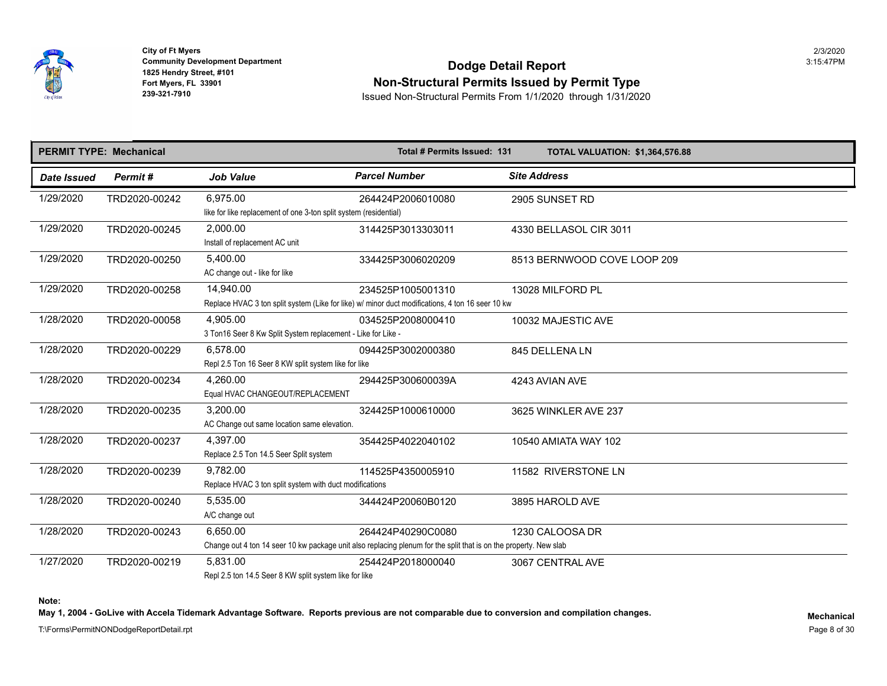

## **Community Development Department**<br>1825 Hendry Street, #101 **Non-Structural Permits Issued by Permit Type**

**239-321-7910** Issued Non-Structural Permits From 1/1/2020 through 1/31/2020

|                    | <b>PERMIT TYPE: Mechanical</b> |                                                                               | Total # Permits Issued: 131                                                                                                            | <b>TOTAL VALUATION: \$1,364,576.8</b> |
|--------------------|--------------------------------|-------------------------------------------------------------------------------|----------------------------------------------------------------------------------------------------------------------------------------|---------------------------------------|
| <b>Date Issued</b> | Permit#                        | <b>Job Value</b>                                                              | <b>Parcel Number</b>                                                                                                                   | <b>Site Address</b>                   |
| 1/29/2020          | TRD2020-00242                  | 6.975.00<br>like for like replacement of one 3-ton split system (residential) | 264424P2006010080                                                                                                                      | 2905 SUNSET RD                        |
| 1/29/2020          | TRD2020-00245                  | 2,000.00<br>Install of replacement AC unit                                    | 314425P3013303011                                                                                                                      | 4330 BELLASOL CIR 3011                |
| 1/29/2020          | TRD2020-00250                  | 5,400.00<br>AC change out - like for like                                     | 334425P3006020209                                                                                                                      | 8513 BERNWOOD COVE LOOP 209           |
| 1/29/2020          | TRD2020-00258                  | 14.940.00                                                                     | 234525P1005001310<br>Replace HVAC 3 ton split system (Like for like) w/ minor duct modifications, 4 ton 16 seer 10 kw                  | 13028 MILFORD PL                      |
| 1/28/2020          | TRD2020-00058                  | 4,905.00<br>3 Ton 16 Seer 8 Kw Split System replacement - Like for Like -     | 034525P2008000410                                                                                                                      | 10032 MAJESTIC AVE                    |
| 1/28/2020          | TRD2020-00229                  | 6.578.00<br>Repl 2.5 Ton 16 Seer 8 KW split system like for like              | 094425P3002000380                                                                                                                      | 845 DELLENA LN                        |
| 1/28/2020          | TRD2020-00234                  | 4.260.00<br>Equal HVAC CHANGEOUT/REPLACEMENT                                  | 294425P300600039A                                                                                                                      | 4243 AVIAN AVE                        |
| 1/28/2020          | TRD2020-00235                  | 3,200.00<br>AC Change out same location same elevation.                       | 324425P1000610000                                                                                                                      | 3625 WINKLER AVE 237                  |
| 1/28/2020          | TRD2020-00237                  | 4,397.00<br>Replace 2.5 Ton 14.5 Seer Split system                            | 354425P4022040102                                                                                                                      | 10540 AMIATA WAY 102                  |
| 1/28/2020          | TRD2020-00239                  | 9,782.00<br>Replace HVAC 3 ton split system with duct modifications           | 114525P4350005910                                                                                                                      | 11582 RIVERSTONE LN                   |
| 1/28/2020          | TRD2020-00240                  | 5,535.00<br>A/C change out                                                    | 344424P20060B0120                                                                                                                      | 3895 HAROLD AVE                       |
| 1/28/2020          | TRD2020-00243                  | 6.650.00                                                                      | 264424P40290C0080<br>Change out 4 ton 14 seer 10 kw package unit also replacing plenum for the split that is on the property. New slab | 1230 CALOOSA DR                       |
| 1/27/2020          | TRD2020-00219                  | 5,831.00<br>Repl 2.5 ton 14.5 Seer 8 KW split system like for like            | 254424P2018000040                                                                                                                      | 3067 CENTRAL AVE                      |

**Note:** 

May 1, 2004 - GoLive with Accela Tidemark Advantage Software. Reports previous are not comparable due to conversion and compilation changes.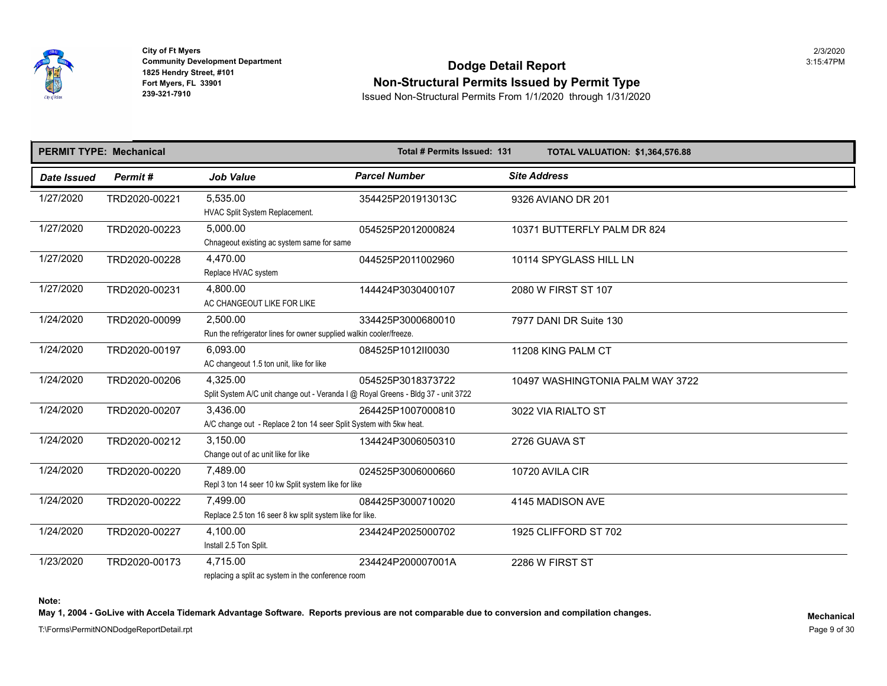

**1992 - All Analytic Propriet 1825 Hendry Street, #101<br><b>Fort Myers, FL 33901<br>239-321-7910 City of Ft Myers** 2/3/2020

## **Community Development Department**<br>1825 Hendry Street, #101 **Non-Structural Permits Issued by Permit Type**

**239-321-7910** Issued Non-Structural Permits From 1/1/2020 through 1/31/2020

|             | <b>PERMIT TYPE: Mechanical</b> |                                                                                               | Total # Permits Issued: 131 | <b>TOTAL VALUATION: \$1,364,576.8</b> |
|-------------|--------------------------------|-----------------------------------------------------------------------------------------------|-----------------------------|---------------------------------------|
| Date Issued | Permit#                        | <b>Job Value</b>                                                                              | <b>Parcel Number</b>        | <b>Site Address</b>                   |
| 1/27/2020   | TRD2020-00221                  | 5,535.00<br>HVAC Split System Replacement.                                                    | 354425P201913013C           | 9326 AVIANO DR 201                    |
| 1/27/2020   | TRD2020-00223                  | 5,000.00<br>Chnageout existing ac system same for same                                        | 054525P2012000824           | 10371 BUTTERFLY PALM DR 824           |
| 1/27/2020   | TRD2020-00228                  | 4,470.00<br>Replace HVAC system                                                               | 044525P2011002960           | 10114 SPYGLASS HILL LN                |
| 1/27/2020   | TRD2020-00231                  | 4,800.00<br>AC CHANGEOUT LIKE FOR LIKE                                                        | 144424P3030400107           | 2080 W FIRST ST 107                   |
| 1/24/2020   | TRD2020-00099                  | 2,500.00<br>Run the refrigerator lines for owner supplied walkin cooler/freeze.               | 334425P3000680010           | 7977 DANI DR Suite 130                |
| 1/24/2020   | TRD2020-00197                  | 6.093.00<br>AC changeout 1.5 ton unit, like for like                                          | 084525P1012II0030           | 11208 KING PALM CT                    |
| 1/24/2020   | TRD2020-00206                  | 4,325.00<br>Split System A/C unit change out - Veranda I @ Royal Greens - Bldg 37 - unit 3722 | 054525P3018373722           | 10497 WASHINGTONIA PALM WAY 37        |
| 1/24/2020   | TRD2020-00207                  | 3,436.00<br>A/C change out - Replace 2 ton 14 seer Split System with 5kw heat.                | 264425P1007000810           | 3022 VIA RIALTO ST                    |
| 1/24/2020   | TRD2020-00212                  | 3,150.00<br>Change out of ac unit like for like                                               | 134424P3006050310           | 2726 GUAVA ST                         |
| 1/24/2020   | TRD2020-00220                  | 7.489.00<br>Repl 3 ton 14 seer 10 kw Split system like for like                               | 024525P3006000660           | 10720 AVILA CIR                       |
| 1/24/2020   | TRD2020-00222                  | 7,499.00<br>Replace 2.5 ton 16 seer 8 kw split system like for like.                          | 084425P3000710020           | 4145 MADISON AVE                      |
| 1/24/2020   | TRD2020-00227                  | 4,100.00<br>Install 2.5 Ton Split.                                                            | 234424P2025000702           | 1925 CLIFFORD ST 702                  |
| 1/23/2020   | TRD2020-00173                  | 4.715.00<br>replacing a split ac system in the conference room                                | 234424P200007001A           | 2286 W FIRST ST                       |

**Note:** 

May 1, 2004 - GoLive with Accela Tidemark Advantage Software. Reports previous are not comparable due to conversion and compilation changes.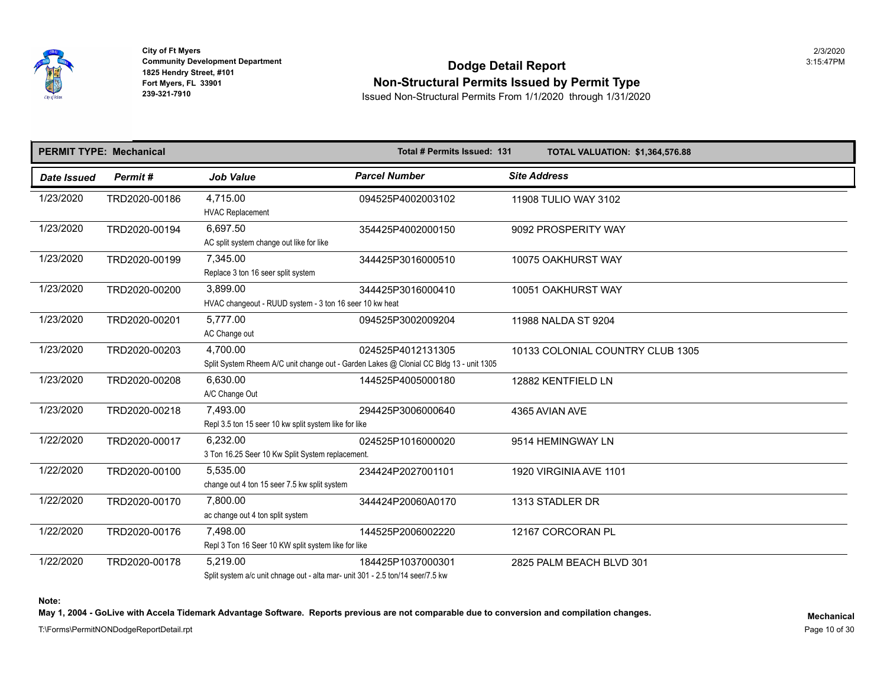

## **Community Development Department**<br>1825 Hendry Street, #101 **Non-Structural Permits Issued by Permit Type**

**239-321-7910** Issued Non-Structural Permits From 1/1/2020 through 1/31/2020

|             | <b>PERMIT TYPE: Mechanical</b> |                                                                                            | Total # Permits Issued: 131                                                                                 | <b>TOTAL VALUATION: \$1,364,576.8</b> |
|-------------|--------------------------------|--------------------------------------------------------------------------------------------|-------------------------------------------------------------------------------------------------------------|---------------------------------------|
| Date Issued | Permit#                        | <b>Job Value</b>                                                                           | <b>Parcel Number</b>                                                                                        | <b>Site Address</b>                   |
| 1/23/2020   | TRD2020-00186                  | 4,715.00<br><b>HVAC Replacement</b>                                                        | 094525P4002003102                                                                                           | 11908 TULIO WAY 3102                  |
| 1/23/2020   | TRD2020-00194                  | 6,697.50<br>AC split system change out like for like                                       | 354425P4002000150                                                                                           | 9092 PROSPERITY WAY                   |
| 1/23/2020   | TRD2020-00199                  | 7,345.00<br>Replace 3 ton 16 seer split system                                             | 344425P3016000510                                                                                           | 10075 OAKHURST WAY                    |
| 1/23/2020   | TRD2020-00200                  | 3,899.00<br>HVAC changeout - RUUD system - 3 ton 16 seer 10 kw heat                        | 344425P3016000410                                                                                           | 10051 OAKHURST WAY                    |
| 1/23/2020   | TRD2020-00201                  | 5,777.00<br>AC Change out                                                                  | 094525P3002009204                                                                                           | 11988 NALDA ST 9204                   |
| 1/23/2020   | TRD2020-00203                  | 4,700.00                                                                                   | 024525P4012131305<br>Split System Rheem A/C unit change out - Garden Lakes @ Clonial CC Bldg 13 - unit 1305 | 10133 COLONIAL COUNTRY CLUB 13        |
| 1/23/2020   | TRD2020-00208                  | 6,630.00<br>A/C Change Out                                                                 | 144525P4005000180                                                                                           | 12882 KENTFIELD LN                    |
| 1/23/2020   | TRD2020-00218                  | 7,493.00<br>Repl 3.5 ton 15 seer 10 kw split system like for like                          | 294425P3006000640                                                                                           | 4365 AVIAN AVE                        |
| 1/22/2020   | TRD2020-00017                  | 6,232.00<br>3 Ton 16.25 Seer 10 Kw Split System replacement.                               | 024525P1016000020                                                                                           | 9514 HEMINGWAY LN                     |
| 1/22/2020   | TRD2020-00100                  | 5.535.00<br>change out 4 ton 15 seer 7.5 kw split system                                   | 234424P2027001101                                                                                           | 1920 VIRGINIA AVE 1101                |
| 1/22/2020   | TRD2020-00170                  | 7.800.00<br>ac change out 4 ton split system                                               | 344424P20060A0170                                                                                           | 1313 STADLER DR                       |
| 1/22/2020   | TRD2020-00176                  | 7,498.00<br>Repl 3 Ton 16 Seer 10 KW split system like for like                            | 144525P2006002220                                                                                           | 12167 CORCORAN PL                     |
| 1/22/2020   | TRD2020-00178                  | 5.219.00<br>Split system a/c unit chnage out - alta mar- unit 301 - 2.5 ton/14 seer/7.5 kw | 184425P1037000301                                                                                           | 2825 PALM BEACH BLVD 301              |

**Note:** 

May 1, 2004 - GoLive with Accela Tidemark Advantage Software. Reports previous are not comparable due to conversion and compilation changes.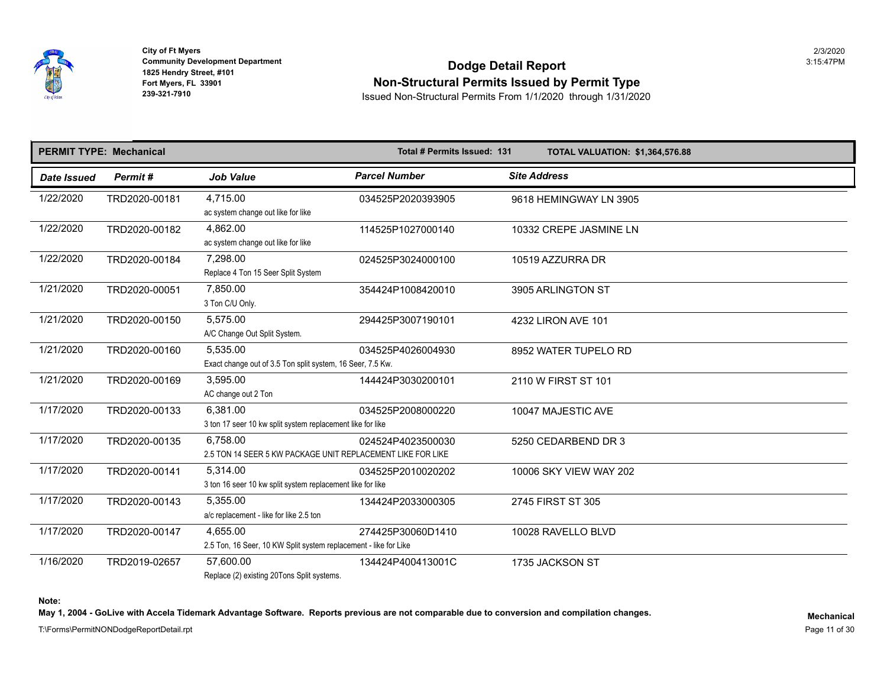

## **Community Development Department**<br>1825 Hendry Street, #101 **Non-Structural Permits Issued by Permit Type**

**239-321-7910** Issued Non-Structural Permits From 1/1/2020 through 1/31/2020

|             | <b>PERMIT TYPE: Mechanical</b> |                                                                              | Total # Permits Issued: 131 | <b>TOTAL VALUATION: \$1,364,576.8</b> |
|-------------|--------------------------------|------------------------------------------------------------------------------|-----------------------------|---------------------------------------|
| Date Issued | Permit#                        | <b>Job Value</b>                                                             | <b>Parcel Number</b>        | <b>Site Address</b>                   |
| 1/22/2020   | TRD2020-00181                  | 4.715.00<br>ac system change out like for like                               | 034525P2020393905           | 9618 HEMINGWAY LN 3905                |
| 1/22/2020   | TRD2020-00182                  | 4,862.00<br>ac system change out like for like                               | 114525P1027000140           | 10332 CREPE JASMINE LN                |
| 1/22/2020   | TRD2020-00184                  | 7,298.00<br>Replace 4 Ton 15 Seer Split System                               | 024525P3024000100           | 10519 AZZURRA DR                      |
| 1/21/2020   | TRD2020-00051                  | 7,850.00<br>3 Ton C/U Only.                                                  | 354424P1008420010           | 3905 ARLINGTON ST                     |
| 1/21/2020   | TRD2020-00150                  | 5,575.00<br>A/C Change Out Split System.                                     | 294425P3007190101           | 4232 LIRON AVE 101                    |
| 1/21/2020   | TRD2020-00160                  | 5,535.00<br>Exact change out of 3.5 Ton split system, 16 Seer, 7.5 Kw.       | 034525P4026004930           | 8952 WATER TUPELO RD                  |
| 1/21/2020   | TRD2020-00169                  | 3,595.00<br>AC change out 2 Ton                                              | 144424P3030200101           | 2110 W FIRST ST 101                   |
| 1/17/2020   | TRD2020-00133                  | 6,381.00<br>3 ton 17 seer 10 kw split system replacement like for like       | 034525P2008000220           | 10047 MAJESTIC AVE                    |
| 1/17/2020   | TRD2020-00135                  | 6.758.00<br>2.5 TON 14 SEER 5 KW PACKAGE UNIT REPLACEMENT LIKE FOR LIKE      | 024524P4023500030           | 5250 CEDARBEND DR 3                   |
| 1/17/2020   | TRD2020-00141                  | 5,314.00<br>3 ton 16 seer 10 kw split system replacement like for like       | 034525P2010020202           | 10006 SKY VIEW WAY 202                |
| 1/17/2020   | TRD2020-00143                  | 5,355.00<br>a/c replacement - like for like 2.5 ton                          | 134424P2033000305           | 2745 FIRST ST 305                     |
| 1/17/2020   | TRD2020-00147                  | 4,655.00<br>2.5 Ton, 16 Seer, 10 KW Split system replacement - like for Like | 274425P30060D1410           | 10028 RAVELLO BLVD                    |
| 1/16/2020   | TRD2019-02657                  | 57,600.00<br>Replace (2) existing 20Tons Split systems.                      | 134424P400413001C           | 1735 JACKSON ST                       |

**Note:** 

May 1, 2004 - GoLive with Accela Tidemark Advantage Software. Reports previous are not comparable due to conversion and compilation changes.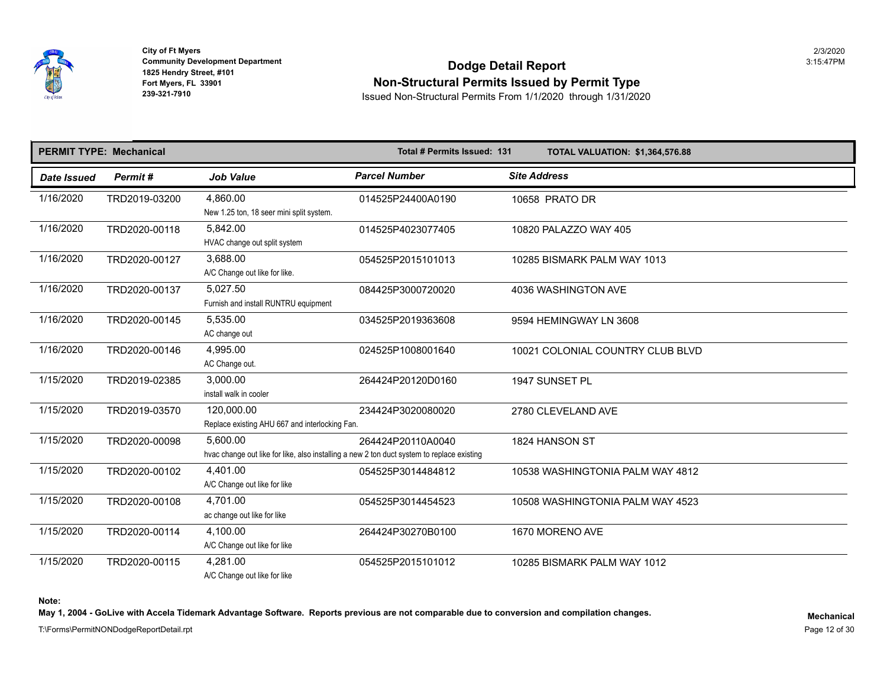

## **Community Development Department**<br>1825 Hendry Street, #101 **Non-Structural Permits Issued by Permit Type**

**239-321-7910** Issued Non-Structural Permits From 1/1/2020 through 1/31/2020

|             | <b>PERMIT TYPE: Mechanical</b> |                                                              | Total # Permits Issued: 131                                                                                     | <b>TOTAL VALUATION: \$1,364,576.8</b> |
|-------------|--------------------------------|--------------------------------------------------------------|-----------------------------------------------------------------------------------------------------------------|---------------------------------------|
| Date Issued | Permit#                        | <b>Job Value</b>                                             | <b>Parcel Number</b>                                                                                            | <b>Site Address</b>                   |
| 1/16/2020   | TRD2019-03200                  | 4,860.00<br>New 1.25 ton, 18 seer mini split system.         | 014525P24400A0190                                                                                               | 10658 PRATO DR                        |
| 1/16/2020   | TRD2020-00118                  | 5,842.00<br>HVAC change out split system                     | 014525P4023077405                                                                                               | 10820 PALAZZO WAY 405                 |
| 1/16/2020   | TRD2020-00127                  | 3,688.00<br>A/C Change out like for like.                    | 054525P2015101013                                                                                               | 10285 BISMARK PALM WAY 1013           |
| 1/16/2020   | TRD2020-00137                  | 5,027.50<br>Furnish and install RUNTRU equipment             | 084425P3000720020                                                                                               | 4036 WASHINGTON AVE                   |
| 1/16/2020   | TRD2020-00145                  | 5,535.00<br>AC change out                                    | 034525P2019363608                                                                                               | 9594 HEMINGWAY LN 3608                |
| 1/16/2020   | TRD2020-00146                  | 4,995.00<br>AC Change out.                                   | 024525P1008001640                                                                                               | 10021 COLONIAL COUNTRY CLUB BI        |
| 1/15/2020   | TRD2019-02385                  | 3,000.00<br>install walk in cooler                           | 264424P20120D0160                                                                                               | 1947 SUNSET PL                        |
| 1/15/2020   | TRD2019-03570                  | 120,000.00<br>Replace existing AHU 667 and interlocking Fan. | 234424P3020080020                                                                                               | 2780 CLEVELAND AVE                    |
| 1/15/2020   | TRD2020-00098                  | 5.600.00                                                     | 264424P20110A0040<br>hvac change out like for like, also installing a new 2 ton duct system to replace existing | 1824 HANSON ST                        |
| 1/15/2020   | TRD2020-00102                  | 4,401.00<br>A/C Change out like for like                     | 054525P3014484812                                                                                               | 10538 WASHINGTONIA PALM WAY 48        |
| 1/15/2020   | TRD2020-00108                  | 4.701.00<br>ac change out like for like                      | 054525P3014454523                                                                                               | 10508 WASHINGTONIA PALM WAY 45        |
| 1/15/2020   | TRD2020-00114                  | 4,100.00<br>A/C Change out like for like                     | 264424P30270B0100                                                                                               | 1670 MORENO AVE                       |
| 1/15/2020   | TRD2020-00115                  | 4,281.00<br>A/C Change out like for like                     | 054525P2015101012                                                                                               | 10285 BISMARK PALM WAY 1012           |

**Note:** 

May 1, 2004 - GoLive with Accela Tidemark Advantage Software. Reports previous are not comparable due to conversion and compilation changes.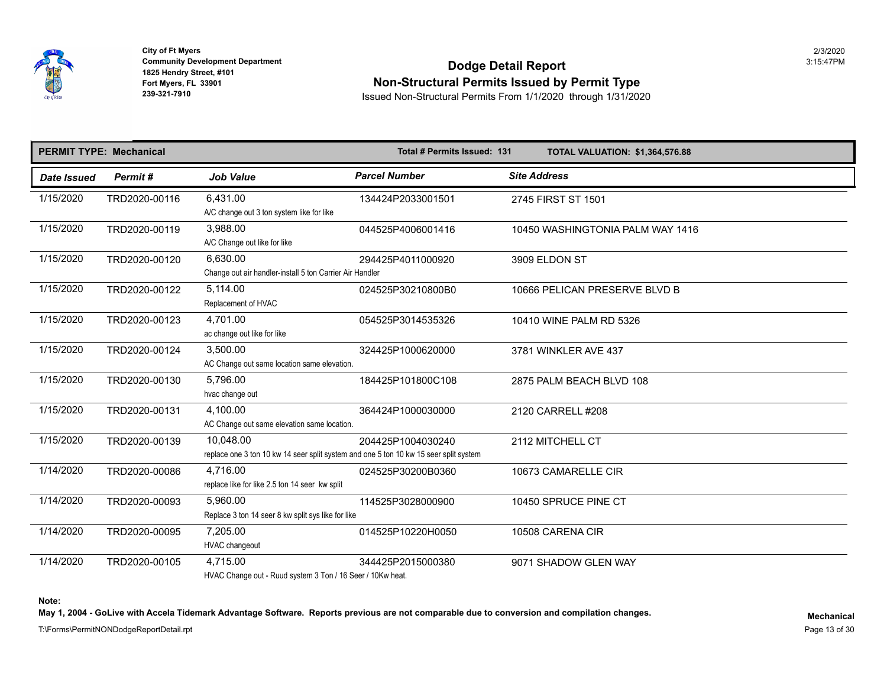

## **Community Development Department**<br>1825 Hendry Street, #101 **Non-Structural Permits Issued by Permit Type**

**239-321-7910** Issued Non-Structural Permits From 1/1/2020 through 1/31/2020

|                    | <b>PERMIT TYPE: Mechanical</b> |                                                                                                    | Total # Permits Issued: 131 | <b>TOTAL VALUATION: \$1,364,576.8</b> |
|--------------------|--------------------------------|----------------------------------------------------------------------------------------------------|-----------------------------|---------------------------------------|
| <b>Date Issued</b> | Permit#                        | <b>Job Value</b>                                                                                   | <b>Parcel Number</b>        | <b>Site Address</b>                   |
| 1/15/2020          | TRD2020-00116                  | 6,431.00<br>A/C change out 3 ton system like for like                                              | 134424P2033001501           | 2745 FIRST ST 1501                    |
| 1/15/2020          | TRD2020-00119                  | 3,988.00<br>A/C Change out like for like                                                           | 044525P4006001416           | 10450 WASHINGTONIA PALM WAY 14        |
| 1/15/2020          | TRD2020-00120                  | 6,630.00<br>Change out air handler-install 5 ton Carrier Air Handler                               | 294425P4011000920           | 3909 ELDON ST                         |
| 1/15/2020          | TRD2020-00122                  | 5,114.00<br>Replacement of HVAC                                                                    | 024525P30210800B0           | 10666 PELICAN PRESERVE BLVD B         |
| 1/15/2020          | TRD2020-00123                  | 4.701.00<br>ac change out like for like                                                            | 054525P3014535326           | 10410 WINE PALM RD 5326               |
| 1/15/2020          | TRD2020-00124                  | 3,500.00<br>AC Change out same location same elevation.                                            | 324425P1000620000           | 3781 WINKLER AVE 437                  |
| 1/15/2020          | TRD2020-00130                  | 5,796.00<br>hvac change out                                                                        | 184425P101800C108           | 2875 PALM BEACH BLVD 108              |
| 1/15/2020          | TRD2020-00131                  | 4,100.00<br>AC Change out same elevation same location.                                            | 364424P1000030000           | 2120 CARRELL #208                     |
| 1/15/2020          | TRD2020-00139                  | 10,048.00<br>replace one 3 ton 10 kw 14 seer split system and one 5 ton 10 kw 15 seer split system | 204425P1004030240           | 2112 MITCHELL CT                      |
| 1/14/2020          | TRD2020-00086                  | 4,716.00<br>replace like for like 2.5 ton 14 seer kw split                                         | 024525P30200B0360           | 10673 CAMARELLE CIR                   |
| 1/14/2020          | TRD2020-00093                  | 5.960.00<br>Replace 3 ton 14 seer 8 kw split sys like for like                                     | 114525P3028000900           | 10450 SPRUCE PINE CT                  |
| 1/14/2020          | TRD2020-00095                  | 7,205.00<br>HVAC changeout                                                                         | 014525P10220H0050           | 10508 CARENA CIR                      |
| 1/14/2020          | TRD2020-00105                  | 4.715.00<br>HVAC Change out - Ruud system 3 Ton / 16 Seer / 10Kw heat.                             | 344425P2015000380           | 9071 SHADOW GLEN WAY                  |

**Note:** 

May 1, 2004 - GoLive with Accela Tidemark Advantage Software. Reports previous are not comparable due to conversion and compilation changes.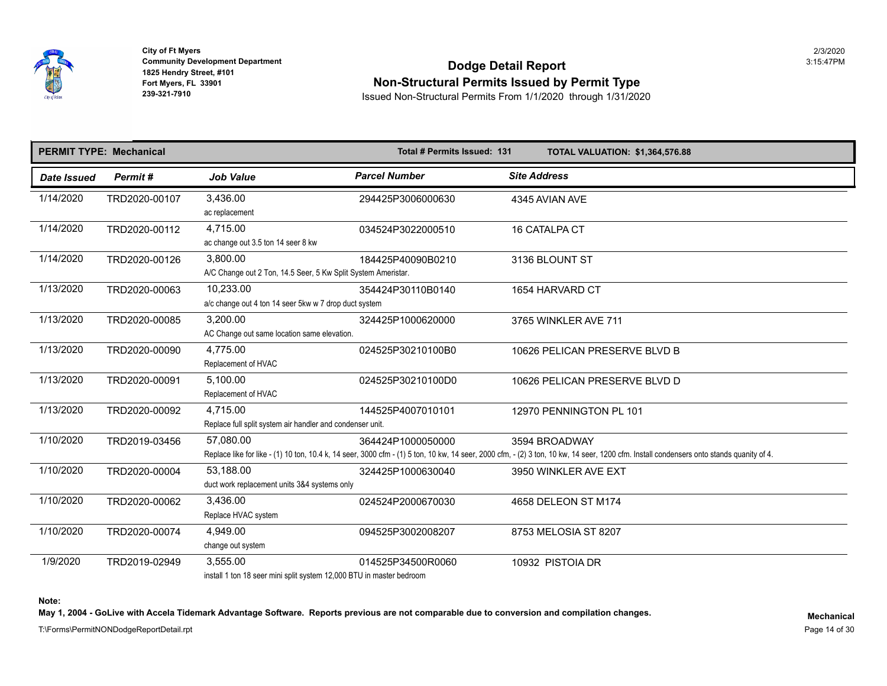

## **Community Development Department**<br>1825 Hendry Street, #101 **Non-Structural Permits Issued by Permit Type**

**239-321-7910** Issued Non-Structural Permits From 1/1/2020 through 1/31/2020

| <b>PERMIT TYPE: Mechanical</b> |               |                                                                                   | Total # Permits Issued: 131 | <b>TOTAL VALUATION: \$1,364,576.8</b>                                                                                                                                         |
|--------------------------------|---------------|-----------------------------------------------------------------------------------|-----------------------------|-------------------------------------------------------------------------------------------------------------------------------------------------------------------------------|
| Date Issued                    | Permit#       | <b>Job Value</b>                                                                  | <b>Parcel Number</b>        | <b>Site Address</b>                                                                                                                                                           |
| 1/14/2020                      | TRD2020-00107 | 3,436.00<br>ac replacement                                                        | 294425P3006000630           | 4345 AVIAN AVE                                                                                                                                                                |
| 1/14/2020                      | TRD2020-00112 | 4,715.00<br>ac change out 3.5 ton 14 seer 8 kw                                    | 034524P3022000510           | 16 CATALPA CT                                                                                                                                                                 |
| 1/14/2020                      | TRD2020-00126 | 3,800.00<br>A/C Change out 2 Ton, 14.5 Seer, 5 Kw Split System Ameristar.         | 184425P40090B0210           | 3136 BLOUNT ST                                                                                                                                                                |
| 1/13/2020                      | TRD2020-00063 | 10.233.00<br>a/c change out 4 ton 14 seer 5kw w 7 drop duct system                | 354424P30110B0140           | 1654 HARVARD CT                                                                                                                                                               |
| 1/13/2020                      | TRD2020-00085 | 3,200.00<br>AC Change out same location same elevation.                           | 324425P1000620000           | 3765 WINKLER AVE 711                                                                                                                                                          |
| 1/13/2020                      | TRD2020-00090 | 4,775.00<br>Replacement of HVAC                                                   | 024525P30210100B0           | 10626 PELICAN PRESERVE BLVD B                                                                                                                                                 |
| 1/13/2020                      | TRD2020-00091 | 5.100.00<br>Replacement of HVAC                                                   | 024525P30210100D0           | 10626 PELICAN PRESERVE BLVD D                                                                                                                                                 |
| 1/13/2020                      | TRD2020-00092 | 4.715.00<br>Replace full split system air handler and condenser unit.             | 144525P4007010101           | 12970 PENNINGTON PL 101                                                                                                                                                       |
| 1/10/2020                      | TRD2019-03456 | 57,080.00                                                                         | 364424P1000050000           | 3594 BROADWAY<br>Replace like for like - (1) 10 ton, 10.4 k, 14 seer, 3000 cfm - (1) 5 ton, 10 kw, 14 seer, 2000 cfm, - (2) 3 ton, 10 kw, 14 seer, 1200 cfm. Install condense |
| 1/10/2020                      | TRD2020-00004 | 53,188.00<br>duct work replacement units 3&4 systems only                         | 324425P1000630040           | 3950 WINKLER AVE EXT                                                                                                                                                          |
| 1/10/2020                      | TRD2020-00062 | 3,436.00<br>Replace HVAC system                                                   | 024524P2000670030           | 4658 DELEON ST M174                                                                                                                                                           |
| 1/10/2020                      | TRD2020-00074 | 4.949.00<br>change out system                                                     | 094525P3002008207           | 8753 MELOSIA ST 8207                                                                                                                                                          |
| 1/9/2020                       | TRD2019-02949 | 3,555.00<br>inetall 1 ton 18 seer mini split system 12,000 RTLL in master hedroom | 014525P34500R0060           | 10932 PISTOIA DR                                                                                                                                                              |

install 1 ton 18 seer mini split system 12,000 BTU in master bedroom

**Note:** 

May 1, 2004 - GoLive with Accela Tidemark Advantage Software. Reports previous are not comparable due to conversion and compilation changes.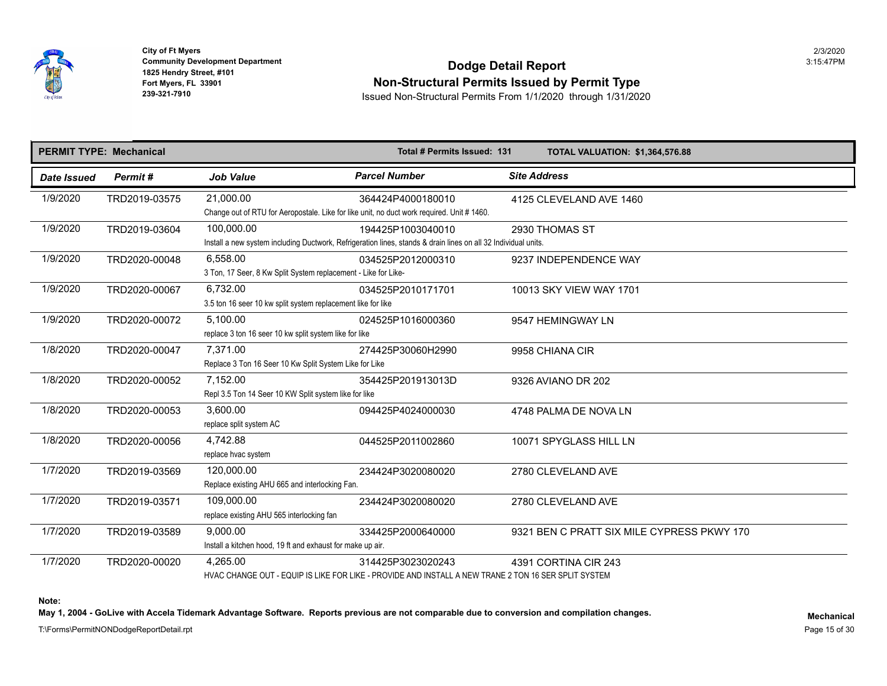

**1825 Hendry Street, #101**<br>**Fort Myers, FL 33901 City of Ft Myers** 2/3/2020

## **Community Development Department**<br>1825 Hendry Street, #101 Fort Myers, FL 33901<br>Fort Myers, FL 33901 **Non-Structural Permits Issued by Permit Type**<br>239-321-7910 **Issued Non-Structural Permits From 1/1/2020** through 1/31/202

**239-321-7910** Issued Non-Structural Permits From 1/1/2020 through 1/31/2020

|             | <b>PERMIT TYPE: Mechanical</b> |                                                                                                        | Total # Permits Issued: 131                                                                                                         | <b>TOTAL VALUATION: \$1,364,576.8</b> |
|-------------|--------------------------------|--------------------------------------------------------------------------------------------------------|-------------------------------------------------------------------------------------------------------------------------------------|---------------------------------------|
| Date Issued | Permit#                        | <b>Job Value</b>                                                                                       | <b>Parcel Number</b>                                                                                                                | <b>Site Address</b>                   |
| 1/9/2020    | TRD2019-03575                  | 21,000.00<br>Change out of RTU for Aeropostale. Like for like unit, no duct work required. Unit #1460. | 364424P4000180010                                                                                                                   | 4125 CLEVELAND AVE 1460               |
| 1/9/2020    | TRD2019-03604                  | 100,000.00                                                                                             | 194425P1003040010<br>Install a new system including Ductwork, Refrigeration lines, stands & drain lines on all 32 Individual units. | 2930 THOMAS ST                        |
| 1/9/2020    | TRD2020-00048                  | 6,558.00<br>3 Ton, 17 Seer, 8 Kw Split System replacement - Like for Like-                             | 034525P2012000310                                                                                                                   | 9237 INDEPENDENCE WAY                 |
| 1/9/2020    | TRD2020-00067                  | 6,732.00<br>3.5 ton 16 seer 10 kw split system replacement like for like                               | 034525P2010171701                                                                                                                   | 10013 SKY VIEW WAY 1701               |
| 1/9/2020    | TRD2020-00072                  | 5,100.00<br>replace 3 ton 16 seer 10 kw split system like for like                                     | 024525P1016000360                                                                                                                   | 9547 HEMINGWAY LN                     |
| 1/8/2020    | TRD2020-00047                  | 7.371.00<br>Replace 3 Ton 16 Seer 10 Kw Split System Like for Like                                     | 274425P30060H2990                                                                                                                   | 9958 CHIANA CIR                       |
| 1/8/2020    | TRD2020-00052                  | 7,152.00<br>Repl 3.5 Ton 14 Seer 10 KW Split system like for like                                      | 354425P201913013D                                                                                                                   | 9326 AVIANO DR 202                    |
| 1/8/2020    | TRD2020-00053                  | 3,600.00<br>replace split system AC                                                                    | 094425P4024000030                                                                                                                   | 4748 PALMA DE NOVA LN                 |
| 1/8/2020    | TRD2020-00056                  | 4,742.88<br>replace hvac system                                                                        | 044525P2011002860                                                                                                                   | 10071 SPYGLASS HILL LN                |
| 1/7/2020    | TRD2019-03569                  | 120,000.00<br>Replace existing AHU 665 and interlocking Fan.                                           | 234424P3020080020                                                                                                                   | 2780 CLEVELAND AVE                    |
| 1/7/2020    | TRD2019-03571                  | 109,000.00<br>replace existing AHU 565 interlocking fan                                                | 234424P3020080020                                                                                                                   | 2780 CLEVELAND AVE                    |
| 1/7/2020    | TRD2019-03589                  | 9.000.00<br>Install a kitchen hood, 19 ft and exhaust for make up air.                                 | 334425P2000640000                                                                                                                   | 9321 BEN C PRATT SIX MILE CYPRE       |
| 1/7/2020    | TRD2020-00020                  | 4,265.00                                                                                               | 314425P3023020243<br>HVAC CHANGE OUT - EQUIP IS LIKE FOR LIKE - PROVIDE AND INSTALL A NEW TRANE 2 TON 16 SER SPLIT SYSTEM           | 4391 CORTINA CIR 243                  |

**Note:** 

May 1, 2004 - GoLive with Accela Tidemark Advantage Software. Reports previous are not comparable due to conversion and compilation changes.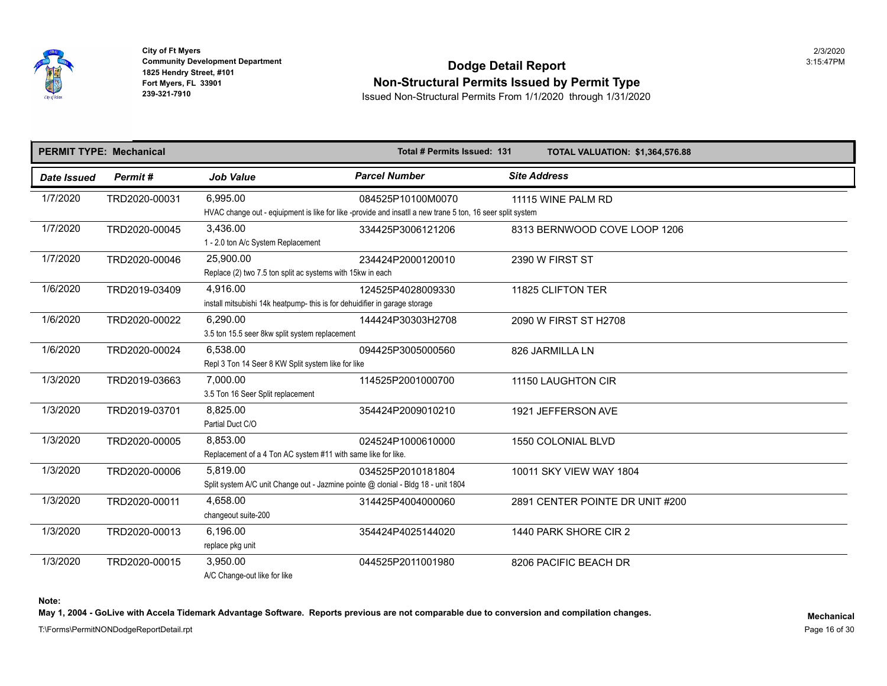

## **Community Development Department**<br>1825 Hendry Street, #101 **Non-Structural Permits Issued by Permit Type**

**239-321-7910** Issued Non-Structural Permits From 1/1/2020 through 1/31/2020

|             | <b>PERMIT TYPE: Mechanical</b> |                                                                                               | Total # Permits Issued: 131                                                                                                     | <b>TOTAL VALUATION: \$1,364,576.8</b> |
|-------------|--------------------------------|-----------------------------------------------------------------------------------------------|---------------------------------------------------------------------------------------------------------------------------------|---------------------------------------|
| Date Issued | Permit#                        | <b>Job Value</b>                                                                              | <b>Parcel Number</b>                                                                                                            | <b>Site Address</b>                   |
| 1/7/2020    | TRD2020-00031                  | 6,995.00                                                                                      | 084525P10100M0070<br>HVAC change out - eqiuipment is like for like -provide and insatll a new trane 5 ton, 16 seer split system | 11115 WINE PALM RD                    |
| 1/7/2020    | TRD2020-00045                  | 3,436.00<br>1 - 2.0 ton A/c System Replacement                                                | 334425P3006121206                                                                                                               | 8313 BERNWOOD COVE LOOP 1206          |
| 1/7/2020    | TRD2020-00046                  | 25,900.00<br>Replace (2) two 7.5 ton split ac systems with 15kw in each                       | 234424P2000120010                                                                                                               | 2390 W FIRST ST                       |
| 1/6/2020    | TRD2019-03409                  | 4,916.00<br>install mitsubishi 14k heatpump- this is for dehuidifier in garage storage        | 124525P4028009330                                                                                                               | 11825 CLIFTON TER                     |
| 1/6/2020    | TRD2020-00022                  | 6,290.00<br>3.5 ton 15.5 seer 8kw split system replacement                                    | 144424P30303H2708                                                                                                               | 2090 W FIRST ST H2708                 |
| 1/6/2020    | TRD2020-00024                  | 6.538.00<br>Repl 3 Ton 14 Seer 8 KW Split system like for like                                | 094425P3005000560                                                                                                               | 826 JARMILLA LN                       |
| 1/3/2020    | TRD2019-03663                  | 7,000.00<br>3.5 Ton 16 Seer Split replacement                                                 | 114525P2001000700                                                                                                               | 11150 LAUGHTON CIR                    |
| 1/3/2020    | TRD2019-03701                  | 8,825.00<br>Partial Duct C/O                                                                  | 354424P2009010210                                                                                                               | 1921 JEFFERSON AVE                    |
| 1/3/2020    | TRD2020-00005                  | 8,853.00<br>Replacement of a 4 Ton AC system #11 with same like for like.                     | 024524P1000610000                                                                                                               | <b>1550 COLONIAL BLVD</b>             |
| 1/3/2020    | TRD2020-00006                  | 5,819.00<br>Split system A/C unit Change out - Jazmine pointe @ clonial - Bldg 18 - unit 1804 | 034525P2010181804                                                                                                               | 10011 SKY VIEW WAY 1804               |
| 1/3/2020    | TRD2020-00011                  | 4,658.00<br>changeout suite-200                                                               | 314425P4004000060                                                                                                               | 2891 CENTER POINTE DR UNIT #200       |
| 1/3/2020    | TRD2020-00013                  | 6,196.00<br>replace pkg unit                                                                  | 354424P4025144020                                                                                                               | 1440 PARK SHORE CIR 2                 |
| 1/3/2020    | TRD2020-00015                  | 3.950.00<br>A/C Change-out like for like                                                      | 044525P2011001980                                                                                                               | 8206 PACIFIC BEACH DR                 |

**Note:** 

May 1, 2004 - GoLive with Accela Tidemark Advantage Software. Reports previous are not comparable due to conversion and compilation changes.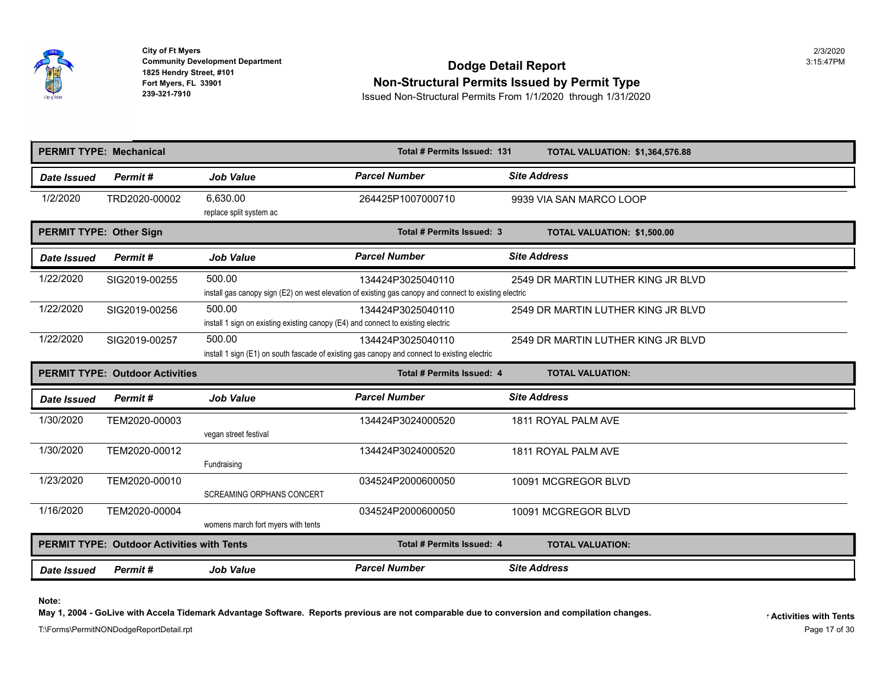

## **Community Development Department**<br>1825 Hendry Street, #101 **Non-Structural Permits Issued by Permit Type**

**239-321-7910** Issued Non-Structural Permits From 1/1/2020 through 1/31/2020

|                                | <b>PERMIT TYPE: Mechanical</b>                    |                                                                                            | Total # Permits Issued: 131                                                                                                 | <b>TOTAL VALUATION: \$1,364,576.8</b> |
|--------------------------------|---------------------------------------------------|--------------------------------------------------------------------------------------------|-----------------------------------------------------------------------------------------------------------------------------|---------------------------------------|
| Date Issued                    | Permit#                                           | <b>Job Value</b>                                                                           | <b>Parcel Number</b>                                                                                                        | <b>Site Address</b>                   |
| 1/2/2020                       | TRD2020-00002                                     | 6.630.00<br>replace split system ac                                                        | 264425P1007000710                                                                                                           | 9939 VIA SAN MARCO LOOP               |
| <b>PERMIT TYPE: Other Sign</b> |                                                   |                                                                                            | Total # Permits Issued: 3                                                                                                   | <b>TOTAL VALUATION: \$1,500.00</b>    |
| Date Issued                    | Permit#                                           | <b>Job Value</b>                                                                           | <b>Parcel Number</b>                                                                                                        | <b>Site Address</b>                   |
| 1/22/2020                      | SIG2019-00255                                     | 500.00                                                                                     | 134424P3025040110<br>install gas canopy sign (E2) on west elevation of existing gas canopy and connect to existing electric | 2549 DR MARTIN LUTHER KING JR B       |
| 1/22/2020                      | SIG2019-00256                                     | 500.00<br>install 1 sign on existing existing canopy (E4) and connect to existing electric | 134424P3025040110                                                                                                           | 2549 DR MARTIN LUTHER KING JR B       |
| 1/22/2020                      | SIG2019-00257                                     | 500.00                                                                                     | 134424P3025040110<br>install 1 sign (E1) on south fascade of existing gas canopy and connect to existing electric           | 2549 DR MARTIN LUTHER KING JR B       |
|                                | <b>PERMIT TYPE: Outdoor Activities</b>            |                                                                                            | Total # Permits Issued: 4                                                                                                   | <b>TOTAL VALUATION:</b>               |
|                                |                                                   |                                                                                            |                                                                                                                             |                                       |
| Date Issued                    | Permit#                                           | <b>Job Value</b>                                                                           | <b>Parcel Number</b>                                                                                                        | <b>Site Address</b>                   |
| 1/30/2020                      | TEM2020-00003                                     | vegan street festival                                                                      | 134424P3024000520                                                                                                           | 1811 ROYAL PALM AVE                   |
| 1/30/2020                      | TEM2020-00012                                     | Fundraising                                                                                | 134424P3024000520                                                                                                           | 1811 ROYAL PALM AVE                   |
| 1/23/2020                      | TEM2020-00010                                     | <b>SCREAMING ORPHANS CONCERT</b>                                                           | 034524P2000600050                                                                                                           | 10091 MCGREGOR BLVD                   |
| 1/16/2020                      | TEM2020-00004                                     | womens march fort myers with tents                                                         | 034524P2000600050                                                                                                           | 10091 MCGREGOR BLVD                   |
|                                | <b>PERMIT TYPE: Outdoor Activities with Tents</b> |                                                                                            | <b>Total # Permits Issued: 4</b>                                                                                            | <b>TOTAL VALUATION:</b>               |

**Note:** 

May 1, 2004 - GoLive with Accela Tidemark Advantage Software. Reports previous are not comparable due to conversion and compilation changes.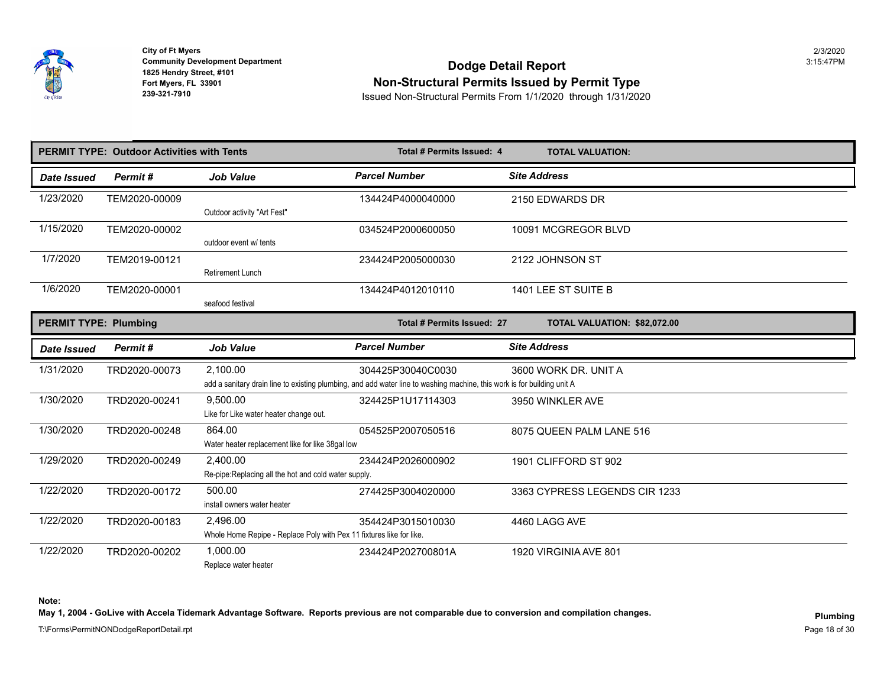

## **Community Development Department**<br>1825 Hendry Street, #101 **Non-Structural Permits Issued by Permit Type**

**239-321-7910** Issued Non-Structural Permits From 1/1/2020 through 1/31/2020

|                              | <b>PERMIT TYPE: Outdoor Activities with Tents</b> |                                                                      | <b>Total # Permits Issued: 4</b>                                                                                        | <b>TOTAL VALUATION:</b>       |
|------------------------------|---------------------------------------------------|----------------------------------------------------------------------|-------------------------------------------------------------------------------------------------------------------------|-------------------------------|
| Date Issued                  | Permit#                                           | <b>Job Value</b>                                                     | <b>Parcel Number</b>                                                                                                    | <b>Site Address</b>           |
| 1/23/2020                    | TEM2020-00009                                     |                                                                      | 134424P4000040000                                                                                                       | 2150 EDWARDS DR               |
|                              |                                                   | Outdoor activity "Art Fest"                                          |                                                                                                                         |                               |
| 1/15/2020                    | TEM2020-00002                                     | outdoor event w/ tents                                               | 034524P2000600050                                                                                                       | 10091 MCGREGOR BLVD           |
| 1/7/2020                     | TEM2019-00121                                     |                                                                      | 234424P2005000030                                                                                                       | 2122 JOHNSON ST               |
|                              |                                                   | <b>Retirement Lunch</b>                                              |                                                                                                                         |                               |
| 1/6/2020                     | TEM2020-00001                                     |                                                                      | 134424P4012010110                                                                                                       | 1401 LEE ST SUITE B           |
|                              |                                                   | seafood festival                                                     |                                                                                                                         |                               |
| <b>PERMIT TYPE: Plumbing</b> |                                                   |                                                                      | Total # Permits Issued: 27                                                                                              | TOTAL VALUATION: \$82,072.00  |
| Date Issued                  | Permit#                                           | <b>Job Value</b>                                                     | <b>Parcel Number</b>                                                                                                    | <b>Site Address</b>           |
| 1/31/2020                    | TRD2020-00073                                     | 2,100.00                                                             | 304425P30040C0030                                                                                                       | 3600 WORK DR. UNIT A          |
|                              |                                                   |                                                                      | add a sanitary drain line to existing plumbing, and add water line to washing machine, this work is for building unit A |                               |
| 1/30/2020                    | TRD2020-00241                                     | 9,500.00                                                             | 324425P1U17114303                                                                                                       | 3950 WINKLER AVE              |
|                              |                                                   | Like for Like water heater change out.                               |                                                                                                                         |                               |
| 1/30/2020                    | TRD2020-00248                                     | 864.00                                                               | 054525P2007050516                                                                                                       | 8075 QUEEN PALM LANE 516      |
|                              |                                                   | Water heater replacement like for like 38gal low                     |                                                                                                                         |                               |
| 1/29/2020                    | TRD2020-00249                                     | 2,400.00                                                             | 234424P2026000902                                                                                                       | 1901 CLIFFORD ST 902          |
|                              |                                                   | Re-pipe: Replacing all the hot and cold water supply.                |                                                                                                                         |                               |
| 1/22/2020                    | TRD2020-00172                                     | 500.00                                                               | 274425P3004020000                                                                                                       | 3363 CYPRESS LEGENDS CIR 1233 |
|                              |                                                   | install owners water heater                                          |                                                                                                                         |                               |
| 1/22/2020                    | TRD2020-00183                                     | 2,496.00                                                             | 354424P3015010030                                                                                                       | 4460 LAGG AVE                 |
|                              |                                                   | Whole Home Repipe - Replace Poly with Pex 11 fixtures like for like. |                                                                                                                         |                               |
| 1/22/2020                    | TRD2020-00202                                     | 1,000.00                                                             | 234424P202700801A                                                                                                       | 1920 VIRGINIA AVE 801         |
|                              |                                                   | Replace water heater                                                 |                                                                                                                         |                               |

**Note:** 

May 1, 2004 - GoLive with Accela Tidemark Advantage Software. Reports previous are not comparable due to conversion and compilation changes.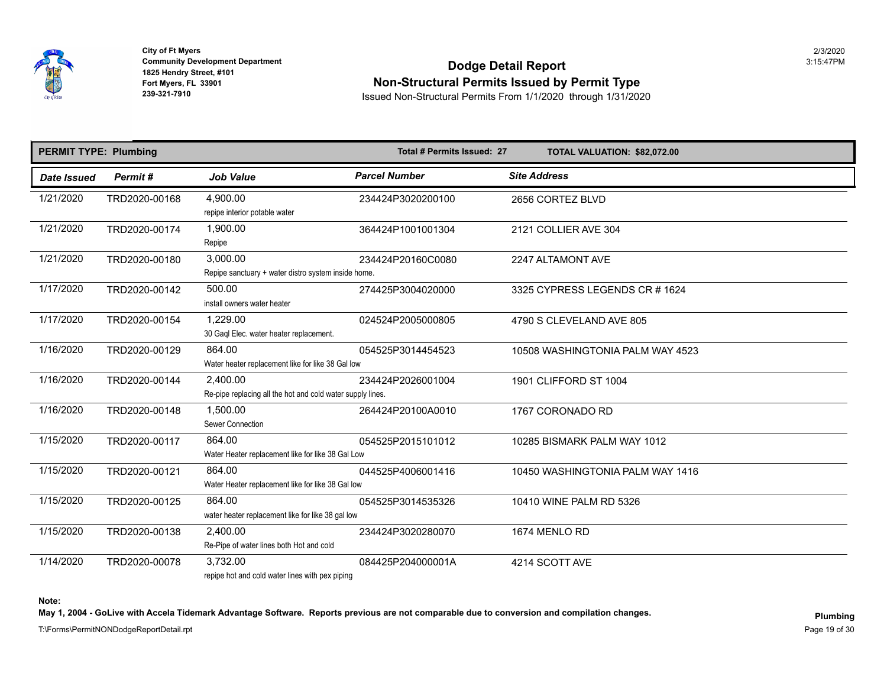

## **Community Development Department**<br>1825 Hendry Street, #101 **Non-Structural Permits Issued by Permit Type**

**239-321-7910** Issued Non-Structural Permits From 1/1/2020 through 1/31/2020

| <b>PERMIT TYPE: Plumbing</b> |               |                                                                        | Total # Permits Issued: 27 | TOTAL VALUATION: \$82,072.00   |
|------------------------------|---------------|------------------------------------------------------------------------|----------------------------|--------------------------------|
| Date Issued                  | Permit#       | <b>Job Value</b>                                                       | <b>Parcel Number</b>       | <b>Site Address</b>            |
| 1/21/2020                    | TRD2020-00168 | 4,900.00<br>repipe interior potable water                              | 234424P3020200100          | 2656 CORTEZ BLVD               |
| 1/21/2020                    | TRD2020-00174 | 1,900.00<br>Repipe                                                     | 364424P1001001304          | 2121 COLLIER AVE 304           |
| 1/21/2020                    | TRD2020-00180 | 3,000.00<br>Repipe sanctuary + water distro system inside home.        | 234424P20160C0080          | 2247 ALTAMONT AVE              |
| 1/17/2020                    | TRD2020-00142 | 500.00<br>install owners water heater                                  | 274425P3004020000          | 3325 CYPRESS LEGENDS CR # 1624 |
| 1/17/2020                    | TRD2020-00154 | 1.229.00<br>30 Gaql Elec. water heater replacement.                    | 024524P2005000805          | 4790 S CLEVELAND AVE 805       |
| 1/16/2020                    | TRD2020-00129 | 864.00<br>Water heater replacement like for like 38 Gal low            | 054525P3014454523          | 10508 WASHINGTONIA PALM WAY 45 |
| 1/16/2020                    | TRD2020-00144 | 2,400.00<br>Re-pipe replacing all the hot and cold water supply lines. | 234424P2026001004          | 1901 CLIFFORD ST 1004          |
| 1/16/2020                    | TRD2020-00148 | 1,500.00<br>Sewer Connection                                           | 264424P20100A0010          | 1767 CORONADO RD               |
| 1/15/2020                    | TRD2020-00117 | 864.00<br>Water Heater replacement like for like 38 Gal Low            | 054525P2015101012          | 10285 BISMARK PALM WAY 1012    |
| 1/15/2020                    | TRD2020-00121 | 864.00<br>Water Heater replacement like for like 38 Gal low            | 044525P4006001416          | 10450 WASHINGTONIA PALM WAY 14 |
| 1/15/2020                    | TRD2020-00125 | 864.00<br>water heater replacement like for like 38 gal low            | 054525P3014535326          | 10410 WINE PALM RD 5326        |
| 1/15/2020                    | TRD2020-00138 | 2,400.00<br>Re-Pipe of water lines both Hot and cold                   | 234424P3020280070          | 1674 MENLO RD                  |
| 1/14/2020                    | TRD2020-00078 | 3.732.00<br>repipe hot and cold water lines with pex piping            | 084425P204000001A          | 4214 SCOTT AVE                 |

**Note:** 

May 1, 2004 - GoLive with Accela Tidemark Advantage Software. Reports previous are not comparable due to conversion and compilation changes.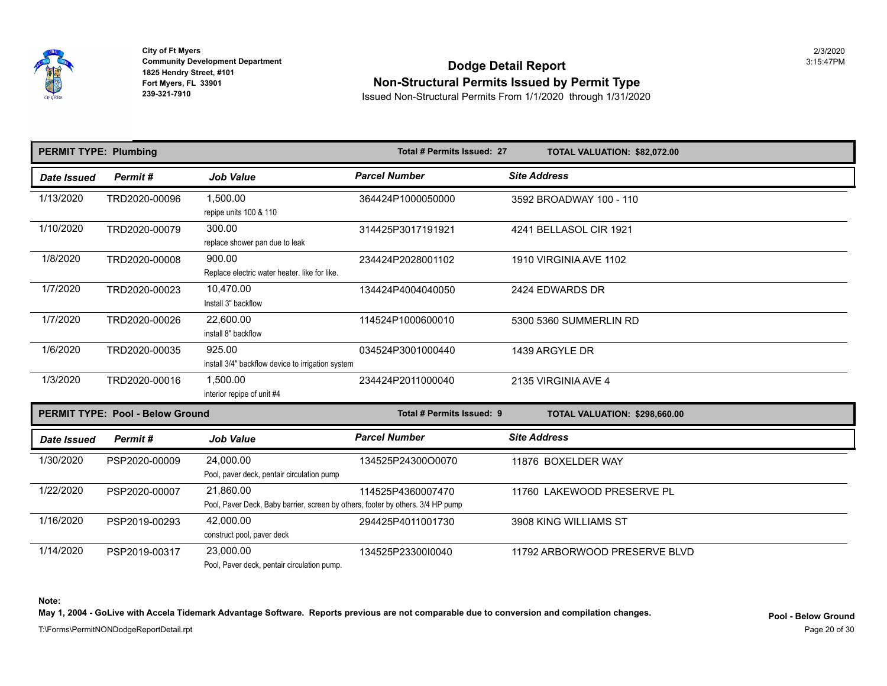

## **Community Development Department**<br>1825 Hendry Street, #101 **Non-Structural Permits Issued by Permit Type**

**239-321-7910** Issued Non-Structural Permits From 1/1/2020 through 1/31/2020

| <b>PERMIT TYPE: Plumbing</b> |                                         |                                                             | Total # Permits Issued: 27 | TOTAL VALUATION: \$82,072.00  |
|------------------------------|-----------------------------------------|-------------------------------------------------------------|----------------------------|-------------------------------|
| <b>Date Issued</b>           | Permit#                                 | <b>Job Value</b>                                            | <b>Parcel Number</b>       | <b>Site Address</b>           |
| 1/13/2020                    | TRD2020-00096                           | 1,500.00<br>repipe units 100 & 110                          | 364424P1000050000          | 3592 BROADWAY 100 - 110       |
| 1/10/2020                    | TRD2020-00079                           | 300.00<br>replace shower pan due to leak                    | 314425P3017191921          | 4241 BELLASOL CIR 1921        |
| 1/8/2020                     | TRD2020-00008                           | 900.00<br>Replace electric water heater. like for like.     | 234424P2028001102          | 1910 VIRGINIA AVE 1102        |
| 1/7/2020                     | TRD2020-00023                           | 10,470.00<br>Install 3" backflow                            | 134424P4004040050          | 2424 EDWARDS DR               |
| 1/7/2020                     | TRD2020-00026                           | 22,600.00<br>install 8" backflow                            | 114524P1000600010          | 5300 5360 SUMMERLIN RD        |
| 1/6/2020                     | TRD2020-00035                           | 925.00<br>install 3/4" backflow device to irrigation system | 034524P3001000440          | 1439 ARGYLE DR                |
| 1/3/2020                     | TRD2020-00016                           | 1,500.00<br>interior repipe of unit #4                      | 234424P2011000040          | 2135 VIRGINIA AVE 4           |
|                              | <b>PERMIT TYPE: Pool - Below Ground</b> |                                                             | Total # Permits Issued: 9  | TOTAL VALUATION: \$298,660.00 |
| Date Issued                  | Permit#                                 | <b>Job Value</b>                                            | <b>Parcel Number</b>       | <b>Site Address</b>           |
| 1/30/2020                    | חחחח חרחרת הפ                           | 24.000.00                                                   | 121525D2120000070          | 1107 $\epsilon$ DOVEI DED WAV |

| 1/30/2020 | PSP2020-00009 | 24,000.00                                                                       | 134525P24300O0070 | 11876 BOXELDER WAY           |
|-----------|---------------|---------------------------------------------------------------------------------|-------------------|------------------------------|
|           |               | Pool, paver deck, pentair circulation pump                                      |                   |                              |
| 1/22/2020 | PSP2020-00007 | 21.860.00                                                                       | 114525P4360007470 | 11760 LAKEWOOD PRESERVE PL   |
|           |               | Pool, Paver Deck, Baby barrier, screen by others, footer by others. 3/4 HP pump |                   |                              |
| 1/16/2020 | PSP2019-00293 | 42,000.00                                                                       | 294425P4011001730 | 3908 KING WILLIAMS ST        |
|           |               | construct pool, paver deck                                                      |                   |                              |
| 1/14/2020 | PSP2019-00317 | 23,000.00                                                                       | 134525P23300I0040 | 11792 ARBORWOOD PRESERVE BLV |
|           |               | Pool. Paver deck, pentair circulation pump.                                     |                   |                              |

**Note:** 

**May 1, 2004 - GoLive with Accela Tidemark Advantage Software. Reports previous are not comparable due to conversion and compilation changes.**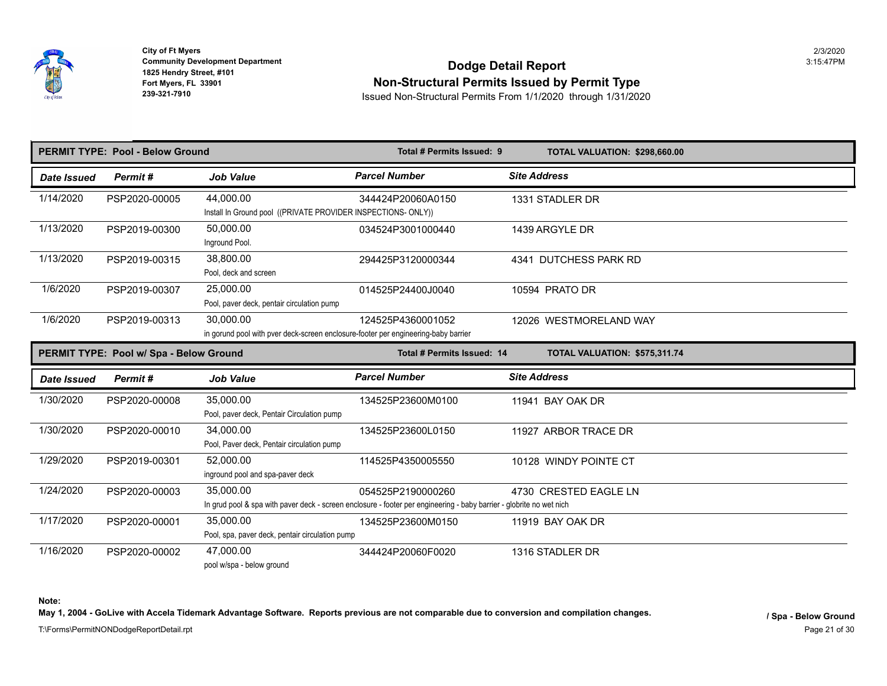

**1825 Hendry Street, #101<br>
Fort Myers, FL 33901 City of Ft Myers** 2/3/2020

# **Community Development Department**<br>1825 Hendry Street, #101 Fort Myers, FL 33901<br>
Fort Myers, FL 33901<br> **Ron-Structural Permits Issued by Permit Type**<br>
Issued Non-Structural Permits From 1/1/2020 through 1/31/202

**239-321-7910** Issued Non-Structural Permits From 1/1/2020 through 1/31/2020

|             | <b>PERMIT TYPE: Pool - Below Ground</b> |                                                                                                 | Total # Permits Issued: 9                                                                                                                 | TOTAL VALUATION: \$298,660.00 |
|-------------|-----------------------------------------|-------------------------------------------------------------------------------------------------|-------------------------------------------------------------------------------------------------------------------------------------------|-------------------------------|
| Date Issued | Permit#                                 | <b>Job Value</b>                                                                                | <b>Parcel Number</b>                                                                                                                      | <b>Site Address</b>           |
| 1/14/2020   | PSP2020-00005                           | 44.000.00<br>Install In Ground pool ((PRIVATE PROVIDER INSPECTIONS- ONLY))                      | 344424P20060A0150                                                                                                                         | 1331 STADLER DR               |
| 1/13/2020   | PSP2019-00300                           | 50.000.00<br>Inground Pool.                                                                     | 034524P3001000440                                                                                                                         | 1439 ARGYLE DR                |
| 1/13/2020   | PSP2019-00315                           | 38,800.00<br>Pool, deck and screen                                                              | 294425P3120000344                                                                                                                         | 4341 DUTCHESS PARK RD         |
| 1/6/2020    | PSP2019-00307                           | 25.000.00<br>Pool, paver deck, pentair circulation pump                                         | 014525P24400J0040                                                                                                                         | 10594 PRATO DR                |
| 1/6/2020    | PSP2019-00313                           | 30,000.00<br>in gorund pool with pver deck-screen enclosure-footer per engineering-baby barrier | 124525P4360001052                                                                                                                         | 12026 WESTMORELAND WAY        |
|             | PERMIT TYPE: Pool w/ Spa - Below Ground |                                                                                                 | Total # Permits Issued: 14                                                                                                                | TOTAL VALUATION: \$575,311.74 |
| Date Issued | Permit#                                 | <b>Job Value</b>                                                                                | <b>Parcel Number</b>                                                                                                                      | <b>Site Address</b>           |
| 1/30/2020   | PSP2020-00008                           | 35.000.00<br>Pool, paver deck, Pentair Circulation pump                                         | 134525P23600M0100                                                                                                                         | 11941 BAY OAK DR              |
| 1/30/2020   | PSP2020-00010                           | 34.000.00<br>Pool, Paver deck, Pentair circulation pump                                         | 134525P23600L0150                                                                                                                         | 11927 ARBOR TRACE DR          |
| 1/29/2020   | PSP2019-00301                           | 52,000.00<br>inground pool and spa-paver deck                                                   | 114525P4350005550                                                                                                                         | 10128 WINDY POINTE CT         |
| 1/24/2020   | PSP2020-00003                           | 35,000.00                                                                                       | 054525P2190000260<br>In grud pool & spa with paver deck - screen enclosure - footer per engineering - baby barrier - globrite no wet nich | 4730 CRESTED EAGLE LN         |
| 1/17/2020   | PSP2020-00001                           | 35,000.00<br>Pool, spa, paver deck, pentair circulation pump                                    | 134525P23600M0150                                                                                                                         | 11919 BAY OAK DR              |
| 1/16/2020   | PSP2020-00002                           | 47.000.00<br>pool w/spa - below ground                                                          | 344424P20060F0020                                                                                                                         | 1316 STADLER DR               |

**Note:** 

May 1, 2004 - GoLive with Accela Tidemark Advantage Software. Reports previous are not comparable due to conversion and compilation changes.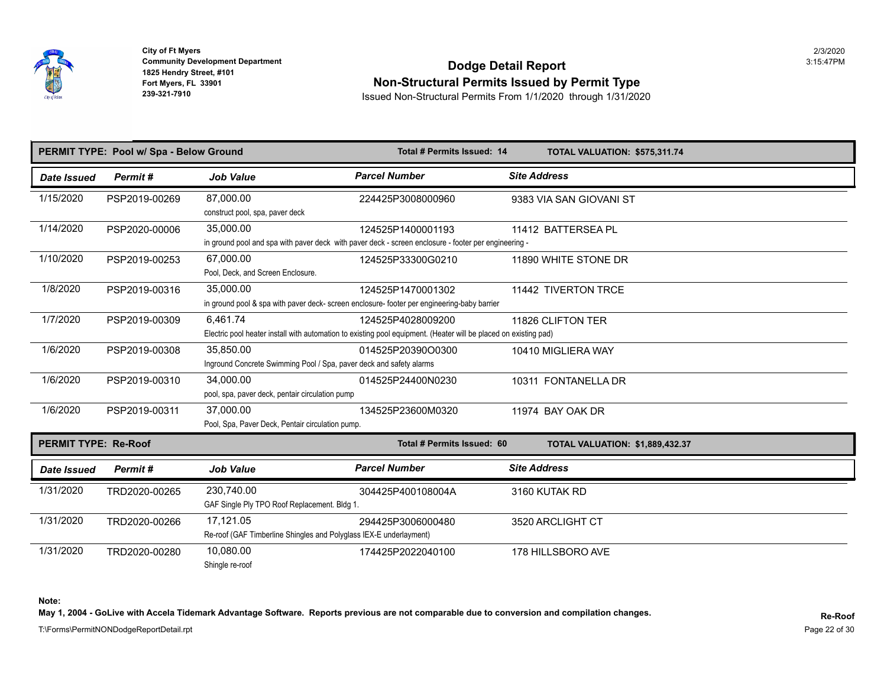

## **Community Development Department**<br>1825 Hendry Street, #101 **Non-Structural Permits Issued by Permit Type**

**239-321-7910** Issued Non-Structural Permits From 1/1/2020 through 1/31/2020

|                             | PERMIT TYPE: Pool w/ Spa - Below Ground |                                                                                  | Total # Permits Issued: 14                                                                                                            | TOTAL VALUATION: \$575,311.74         |
|-----------------------------|-----------------------------------------|----------------------------------------------------------------------------------|---------------------------------------------------------------------------------------------------------------------------------------|---------------------------------------|
| Date Issued                 | Permit#                                 | <b>Job Value</b>                                                                 | <b>Parcel Number</b>                                                                                                                  | <b>Site Address</b>                   |
| 1/15/2020                   | PSP2019-00269                           | 87,000.00<br>construct pool, spa, paver deck                                     | 224425P3008000960                                                                                                                     | 9383 VIA SAN GIOVANI ST               |
| 1/14/2020                   | PSP2020-00006                           | 35,000.00                                                                        | 124525P1400001193<br>in ground pool and spa with paver deck with paver deck - screen enclosure - footer per engineering -             | 11412 BATTERSEA PL                    |
| 1/10/2020                   | PSP2019-00253                           | 67,000.00<br>Pool, Deck, and Screen Enclosure.                                   | 124525P33300G0210                                                                                                                     | 11890 WHITE STONE DR                  |
| 1/8/2020                    | PSP2019-00316                           | 35,000.00                                                                        | 124525P1470001302<br>in ground pool & spa with paver deck- screen enclosure- footer per engineering-baby barrier                      | 11442 TIVERTON TRCF                   |
| 1/7/2020                    | PSP2019-00309                           | 6,461.74                                                                         | 124525P4028009200<br>Electric pool heater install with automation to existing pool equipment. (Heater will be placed on existing pad) | 11826 CLIFTON TER                     |
| 1/6/2020                    | PSP2019-00308                           | 35,850.00<br>Inground Concrete Swimming Pool / Spa, paver deck and safety alarms | 014525P20390O0300                                                                                                                     | 10410 MIGLIERA WAY                    |
| 1/6/2020                    | PSP2019-00310                           | 34,000.00<br>pool, spa, paver deck, pentair circulation pump                     | 014525P24400N0230                                                                                                                     | 10311 FONTANELLA DR                   |
| 1/6/2020                    | PSP2019-00311                           | 37,000.00<br>Pool, Spa, Paver Deck, Pentair circulation pump.                    | 134525P23600M0320                                                                                                                     | 11974 BAY OAK DR                      |
| <b>PERMIT TYPE: Re-Roof</b> |                                         |                                                                                  | Total # Permits Issued: 60                                                                                                            | <b>TOTAL VALUATION: \$1,889,432.3</b> |
| Date Issued                 | Permit#                                 | <b>Job Value</b>                                                                 | <b>Parcel Number</b>                                                                                                                  | <b>Site Address</b>                   |
| 1/31/2020                   | TRD2020-00265                           | 230.740.00<br>GAF Single Ply TPO Roof Replacement. Bldg 1.                       | 304425P400108004A                                                                                                                     | 3160 KUTAK RD                         |
| 1/31/2020                   | TRD2020-00266                           | 17,121.05<br>Re-roof (GAF Timberline Shingles and Polyglass IEX-E underlayment)  | 294425P3006000480                                                                                                                     | 3520 ARCLIGHT CT                      |
| 1/31/2020                   | TRD2020-00280                           | 10,080.00<br>Shingle re-roof                                                     | 174425P2022040100                                                                                                                     | 178 HILLSBORO AVE                     |

**Note:** 

**May 1, 2004 - GoLive with Accela Tidemark Advantage Software. Reports previous are not comparable due to conversion and compilation changes.**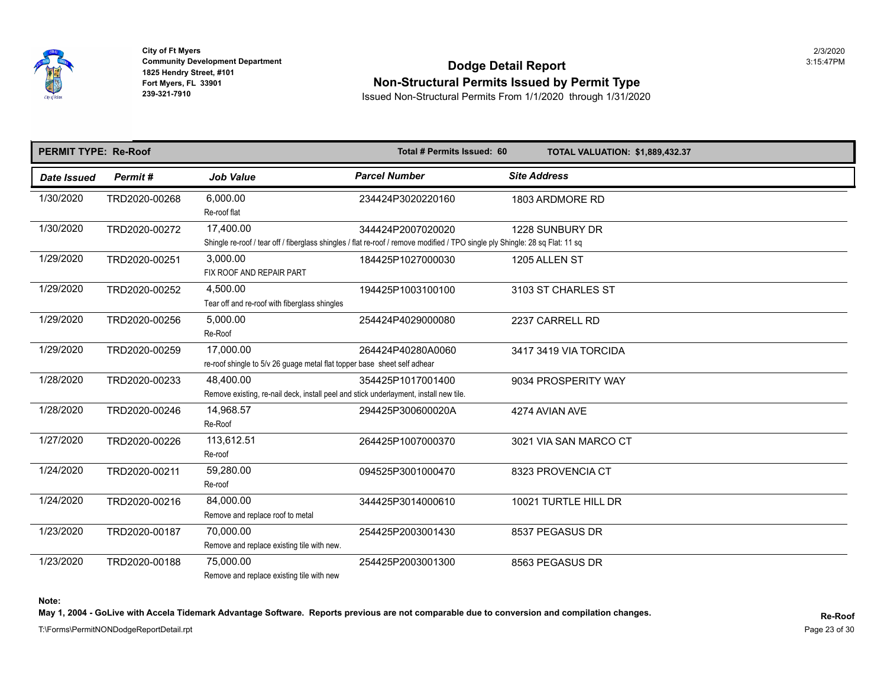

## **Community Development Department**<br>1825 Hendry Street, #101 **Non-Structural Permits Issued by Permit Type**

**239-321-7910** Issued Non-Structural Permits From 1/1/2020 through 1/31/2020

| <b>PERMIT TYPE: Re-Roof</b> |               |                                                                                                                                            | Total # Permits Issued: 60 | <b>TOTAL VALUATION: \$1,889,432.3</b> |
|-----------------------------|---------------|--------------------------------------------------------------------------------------------------------------------------------------------|----------------------------|---------------------------------------|
| <b>Date Issued</b>          | Permit#       | <b>Job Value</b>                                                                                                                           | <b>Parcel Number</b>       | <b>Site Address</b>                   |
| 1/30/2020                   | TRD2020-00268 | 6,000.00<br>Re-roof flat                                                                                                                   | 234424P3020220160          | 1803 ARDMORE RD                       |
| 1/30/2020                   | TRD2020-00272 | 17,400.00<br>Shingle re-roof / tear off / fiberglass shingles / flat re-roof / remove modified / TPO single ply Shingle: 28 sq Flat: 11 sq | 344424P2007020020          | 1228 SUNBURY DR                       |
| 1/29/2020                   | TRD2020-00251 | 3,000.00<br>FIX ROOF AND REPAIR PART                                                                                                       | 184425P1027000030          | 1205 ALLEN ST                         |
| 1/29/2020                   | TRD2020-00252 | 4.500.00<br>Tear off and re-roof with fiberglass shingles                                                                                  | 194425P1003100100          | 3103 ST CHARLES ST                    |
| 1/29/2020                   | TRD2020-00256 | 5,000.00<br>Re-Roof                                                                                                                        | 254424P4029000080          | 2237 CARRELL RD                       |
| 1/29/2020                   | TRD2020-00259 | 17,000.00<br>re-roof shingle to 5/v 26 guage metal flat topper base sheet self adhear                                                      | 264424P40280A0060          | 3417 3419 VIA TORCIDA                 |
| 1/28/2020                   | TRD2020-00233 | 48,400.00<br>Remove existing, re-nail deck, install peel and stick underlayment, install new tile.                                         | 354425P1017001400          | 9034 PROSPERITY WAY                   |
| 1/28/2020                   | TRD2020-00246 | 14,968.57<br>Re-Roof                                                                                                                       | 294425P300600020A          | 4274 AVIAN AVE                        |
| 1/27/2020                   | TRD2020-00226 | 113,612.51<br>Re-roof                                                                                                                      | 264425P1007000370          | 3021 VIA SAN MARCO CT                 |
| 1/24/2020                   | TRD2020-00211 | 59,280.00<br>Re-roof                                                                                                                       | 094525P3001000470          | 8323 PROVENCIA CT                     |
| 1/24/2020                   | TRD2020-00216 | 84,000.00<br>Remove and replace roof to metal                                                                                              | 344425P3014000610          | 10021 TURTLE HILL DR                  |
| 1/23/2020                   | TRD2020-00187 | 70,000.00<br>Remove and replace existing tile with new.                                                                                    | 254425P2003001430          | 8537 PEGASUS DR                       |
| 1/23/2020                   | TRD2020-00188 | 75,000.00<br>Remove and replace existing tile with new                                                                                     | 254425P2003001300          | 8563 PEGASUS DR                       |

**Note:** 

May 1, 2004 - GoLive with Accela Tidemark Advantage Software. Reports previous are not comparable due to conversion and compilation changes.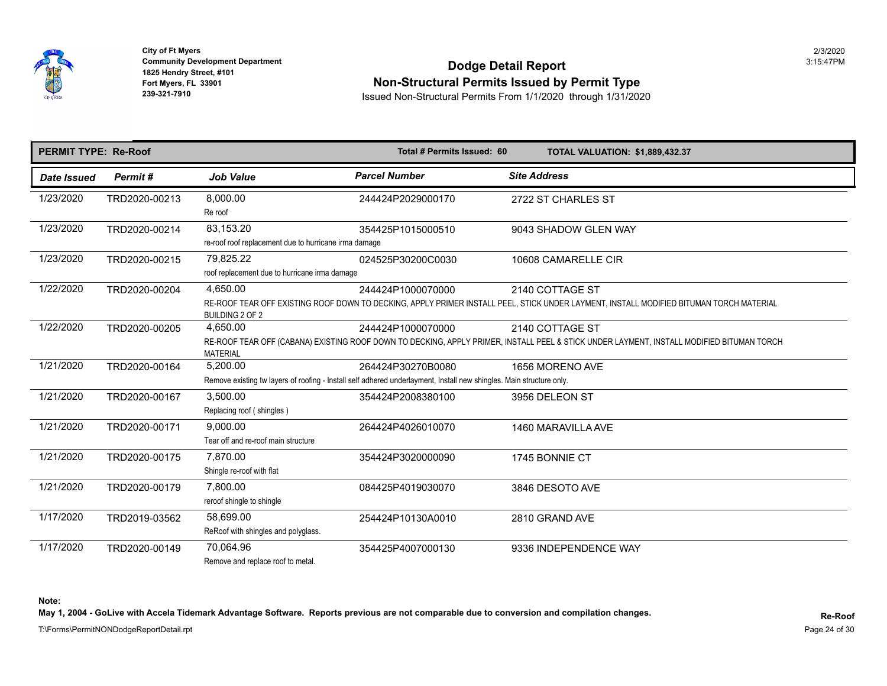

## **Community Development Department**<br>1825 Hendry Street, #101 **Non-Structural Permits Issued by Permit Type**

**239-321-7910** Issued Non-Structural Permits From 1/1/2020 through 1/31/2020

| <b>PERMIT TYPE: Re-Roof</b> |               |                                                                    | Total # Permits Issued: 60                                                                                                                | TOTAL VALUATION: \$1,889,432.3                                                                                                         |
|-----------------------------|---------------|--------------------------------------------------------------------|-------------------------------------------------------------------------------------------------------------------------------------------|----------------------------------------------------------------------------------------------------------------------------------------|
| Date Issued                 | Permit#       | <b>Job Value</b>                                                   | <b>Parcel Number</b>                                                                                                                      | <b>Site Address</b>                                                                                                                    |
| 1/23/2020                   | TRD2020-00213 | 8,000.00<br>Re roof                                                | 244424P2029000170                                                                                                                         | 2722 ST CHARLES ST                                                                                                                     |
| 1/23/2020                   | TRD2020-00214 | 83.153.20<br>re-roof roof replacement due to hurricane irma damage | 354425P1015000510                                                                                                                         | 9043 SHADOW GLEN WAY                                                                                                                   |
| 1/23/2020                   | TRD2020-00215 | 79,825.22<br>roof replacement due to hurricane irma damage         | 024525P30200C0030                                                                                                                         | 10608 CAMARELLE CIR                                                                                                                    |
| 1/22/2020                   | TRD2020-00204 | 4,650.00<br><b>BUILDING 2 OF 2</b>                                 | 244424P1000070000                                                                                                                         | 2140 COTTAGE ST<br>RE-ROOF TEAR OFF EXISTING ROOF DOWN TO DECKING, APPLY PRIMER INSTALL PEEL, STICK UNDER LAYMENT, INSTALL MODIFIED BI |
| 1/22/2020                   | TRD2020-00205 | 4,650.00<br><b>MATERIAL</b>                                        | 244424P1000070000                                                                                                                         | 2140 COTTAGE ST<br>RE-ROOF TEAR OFF (CABANA) EXISTING ROOF DOWN TO DECKING, APPLY PRIMER, INSTALL PEEL & STICK UNDER LAYMENT, INSTALL  |
| 1/21/2020                   | TRD2020-00164 | 5,200.00                                                           | 264424P30270B0080<br>Remove existing tw layers of roofing - Install self adhered underlayment, Install new shingles. Main structure only. | 1656 MORENO AVE                                                                                                                        |
| 1/21/2020                   | TRD2020-00167 | 3,500.00<br>Replacing roof (shingles)                              | 354424P2008380100                                                                                                                         | 3956 DELEON ST                                                                                                                         |
| 1/21/2020                   | TRD2020-00171 | 9.000.00<br>Tear off and re-roof main structure                    | 264424P4026010070                                                                                                                         | 1460 MARAVILLA AVE                                                                                                                     |
| 1/21/2020                   | TRD2020-00175 | 7.870.00<br>Shingle re-roof with flat                              | 354424P3020000090                                                                                                                         | 1745 BONNIE CT                                                                                                                         |
| 1/21/2020                   | TRD2020-00179 | 7,800.00<br>reroof shingle to shingle                              | 084425P4019030070                                                                                                                         | 3846 DESOTO AVE                                                                                                                        |
| 1/17/2020                   | TRD2019-03562 | 58,699.00<br>ReRoof with shingles and polyglass.                   | 254424P10130A0010                                                                                                                         | 2810 GRAND AVE                                                                                                                         |
| 1/17/2020                   | TRD2020-00149 | 70,064.96<br>Remove and replace roof to metal.                     | 354425P4007000130                                                                                                                         | 9336 INDEPENDENCE WAY                                                                                                                  |

**Note:** 

May 1, 2004 - GoLive with Accela Tidemark Advantage Software. Reports previous are not comparable due to conversion and compilation changes.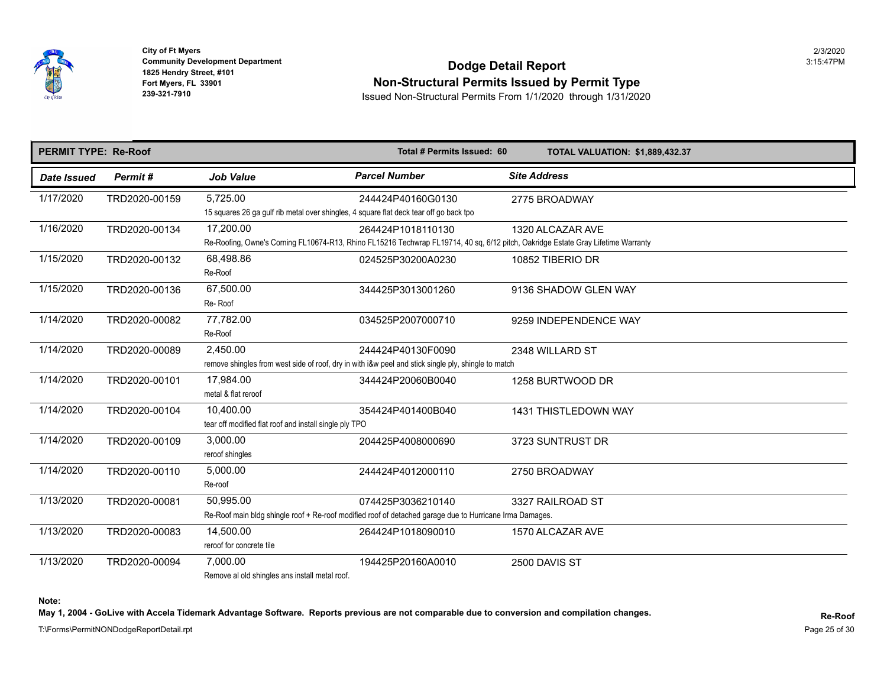

 **City of Ft Myers** 2/3/2020

## **Community Development Department**<br>1825 Hendry Street, #101 **Non-Structural Permits Issued by Permit Type**

**239-321-7910** Issued Non-Structural Permits From 1/1/2020 through 1/31/2020

| <b>PERMIT TYPE: Re-Roof</b> |               | Total # Permits Issued: 60                                                                         |                                                                                                                                                        | <b>TOTAL VALUATION: \$1,889,432.3</b> |  |  |
|-----------------------------|---------------|----------------------------------------------------------------------------------------------------|--------------------------------------------------------------------------------------------------------------------------------------------------------|---------------------------------------|--|--|
| Date Issued                 | Permit#       | <b>Job Value</b>                                                                                   | <b>Parcel Number</b>                                                                                                                                   | <b>Site Address</b>                   |  |  |
| 1/17/2020                   | TRD2020-00159 | 5,725.00<br>15 squares 26 ga gulf rib metal over shingles, 4 square flat deck tear off go back tpo | 244424P40160G0130                                                                                                                                      | 2775 BROADWAY                         |  |  |
| 1/16/2020                   | TRD2020-00134 | 17,200.00                                                                                          | 264424P1018110130<br>Re-Roofing, Owne's Corning FL10674-R13, Rhino FL15216 Techwrap FL19714, 40 sq, 6/12 pitch, Oakridge Estate Gray Lifetime Warranty | 1320 ALCAZAR AVE                      |  |  |
| 1/15/2020                   | TRD2020-00132 | 68,498.86<br>Re-Roof                                                                               | 024525P30200A0230                                                                                                                                      | 10852 TIBERIO DR                      |  |  |
| 1/15/2020                   | TRD2020-00136 | 67.500.00<br>Re-Roof                                                                               | 344425P3013001260                                                                                                                                      | 9136 SHADOW GLEN WAY                  |  |  |
| 1/14/2020                   | TRD2020-00082 | 77,782.00<br>Re-Roof                                                                               | 034525P2007000710                                                                                                                                      | 9259 INDEPENDENCE WAY                 |  |  |
| 1/14/2020                   | TRD2020-00089 | 2,450.00                                                                                           | 244424P40130F0090<br>remove shingles from west side of roof, dry in with i&w peel and stick single ply, shingle to match                               | 2348 WILLARD ST                       |  |  |
| 1/14/2020                   | TRD2020-00101 | 17,984.00<br>metal & flat reroof                                                                   | 344424P20060B0040                                                                                                                                      | 1258 BURTWOOD DR                      |  |  |
| 1/14/2020                   | TRD2020-00104 | 10,400.00<br>tear off modified flat roof and install single ply TPO                                | 354424P401400B040                                                                                                                                      | <b>1431 THISTLEDOWN WAY</b>           |  |  |
| 1/14/2020                   | TRD2020-00109 | 3,000.00<br>reroof shingles                                                                        | 204425P4008000690                                                                                                                                      | 3723 SUNTRUST DR                      |  |  |
| 1/14/2020                   | TRD2020-00110 | 5,000.00<br>Re-roof                                                                                | 244424P4012000110                                                                                                                                      | 2750 BROADWAY                         |  |  |
| 1/13/2020                   | TRD2020-00081 | 50.995.00                                                                                          | 074425P3036210140<br>Re-Roof main bldg shingle roof + Re-roof modified roof of detached garage due to Hurricane Irma Damages.                          | 3327 RAILROAD ST                      |  |  |
| 1/13/2020                   | TRD2020-00083 | 14,500.00<br>reroof for concrete tile                                                              | 264424P1018090010                                                                                                                                      | 1570 ALCAZAR AVE                      |  |  |
| 1/13/2020                   | TRD2020-00094 | 7,000.00<br>and the contract of the state of the contract of the state of the contract of the      | 194425P20160A0010                                                                                                                                      | 2500 DAVIS ST                         |  |  |

Remove al old shingles ans install metal roof.

**Note:** 

May 1, 2004 - GoLive with Accela Tidemark Advantage Software. Reports previous are not comparable due to conversion and compilation changes.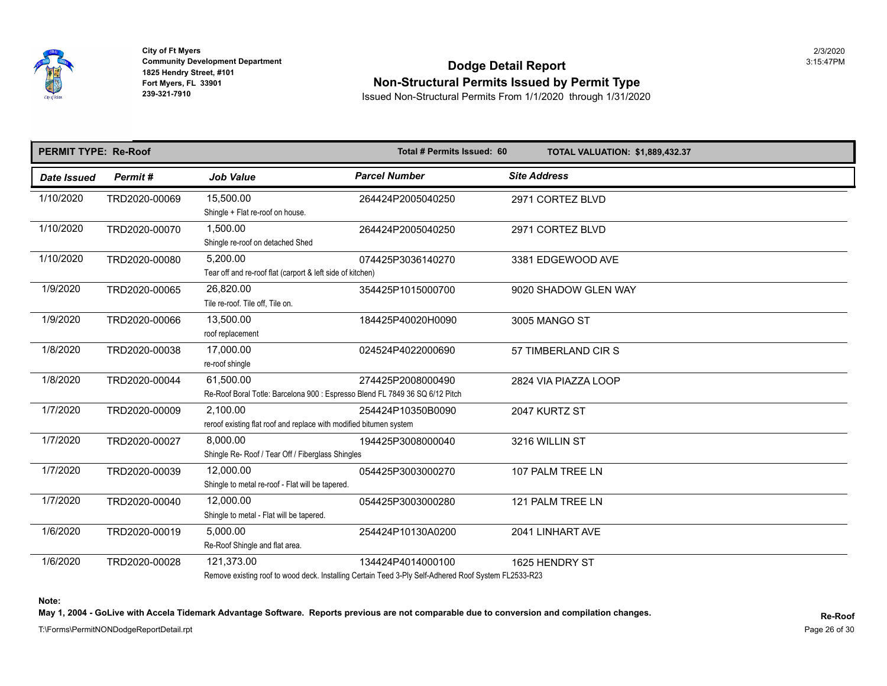

## **Community Development Department**<br>1825 Hendry Street, #101 **Non-Structural Permits Issued by Permit Type**

**239-321-7910** Issued Non-Structural Permits From 1/1/2020 through 1/31/2020

| <b>PERMIT TYPE: Re-Roof</b> |               |                                                                                           | Total # Permits Issued: 60                                                                                                | <b>TOTAL VALUATION: \$1,889,432.3</b> |
|-----------------------------|---------------|-------------------------------------------------------------------------------------------|---------------------------------------------------------------------------------------------------------------------------|---------------------------------------|
| <b>Date Issued</b>          | Permit#       | <b>Job Value</b>                                                                          | <b>Parcel Number</b>                                                                                                      | <b>Site Address</b>                   |
| 1/10/2020                   | TRD2020-00069 | 15,500.00<br>Shingle + Flat re-roof on house.                                             | 264424P2005040250                                                                                                         | 2971 CORTEZ BLVD                      |
| 1/10/2020                   | TRD2020-00070 | 1,500.00<br>Shingle re-roof on detached Shed                                              | 264424P2005040250                                                                                                         | 2971 CORTEZ BLVD                      |
| 1/10/2020                   | TRD2020-00080 | 5,200.00<br>Tear off and re-roof flat (carport & left side of kitchen)                    | 074425P3036140270                                                                                                         | 3381 EDGEWOOD AVE                     |
| 1/9/2020                    | TRD2020-00065 | 26,820.00<br>Tile re-roof. Tile off, Tile on.                                             | 354425P1015000700                                                                                                         | 9020 SHADOW GLEN WAY                  |
| 1/9/2020                    | TRD2020-00066 | 13,500.00<br>roof replacement                                                             | 184425P40020H0090                                                                                                         | 3005 MANGO ST                         |
| 1/8/2020                    | TRD2020-00038 | 17,000.00<br>re-roof shingle                                                              | 024524P4022000690                                                                                                         | 57 TIMBERLAND CIR S                   |
| 1/8/2020                    | TRD2020-00044 | 61,500.00<br>Re-Roof Boral Totle: Barcelona 900 : Espresso Blend FL 7849 36 SQ 6/12 Pitch | 274425P2008000490                                                                                                         | 2824 VIA PIAZZA LOOP                  |
| 1/7/2020                    | TRD2020-00009 | 2.100.00<br>reroof existing flat roof and replace with modified bitumen system            | 254424P10350B0090                                                                                                         | 2047 KURTZ ST                         |
| 1/7/2020                    | TRD2020-00027 | 8.000.00<br>Shingle Re- Roof / Tear Off / Fiberglass Shingles                             | 194425P3008000040                                                                                                         | 3216 WILLIN ST                        |
| 1/7/2020                    | TRD2020-00039 | 12,000.00<br>Shingle to metal re-roof - Flat will be tapered.                             | 054425P3003000270                                                                                                         | 107 PALM TREE LN                      |
| 1/7/2020                    | TRD2020-00040 | 12,000.00<br>Shingle to metal - Flat will be tapered.                                     | 054425P3003000280                                                                                                         | 121 PALM TREE LN                      |
| 1/6/2020                    | TRD2020-00019 | 5,000.00<br>Re-Roof Shingle and flat area.                                                | 254424P10130A0200                                                                                                         | 2041 LINHART AVE                      |
| 1/6/2020                    | TRD2020-00028 | 121,373.00                                                                                | 134424P4014000100<br>Remove existing roof to wood deck Installing Certain Teed 3-Ply Self-Adhered Roof System EL 2533-R23 | 1625 HENDRY ST                        |

Remove existing roof to wood deck. Installing Certain Teed 3-Ply Self-Adhered Roof System FL2533-R23

**Note:** 

May 1, 2004 - GoLive with Accela Tidemark Advantage Software. Reports previous are not comparable due to conversion and compilation changes.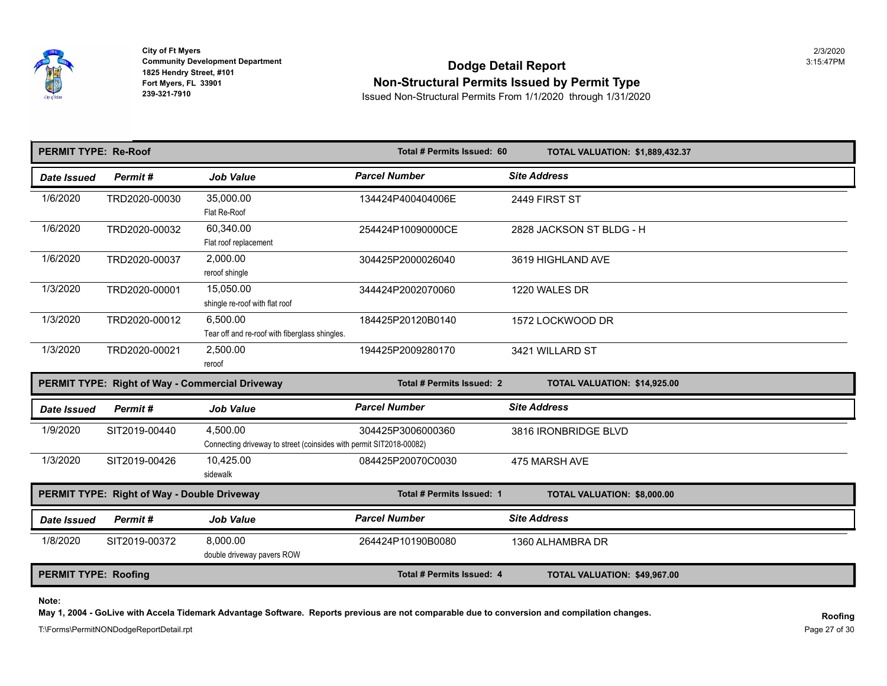

Fort Myers, FL 33901<br>239-321-7910 **City of Ft Myers** 2/3/2020

## **Community Development Department**<br>1825 Hendry Street, #101 **Dodge Detail Report Non-Structural Permits Issued by Permit Type**

**239-321-7910** Issued Non-Structural Permits From 1/1/2020 through 1/31/2020

| <b>PERMIT TYPE: Re-Roof</b>                 |               |                                                                                 | Total # Permits Issued: 60 | <b>TOTAL VALUATION: \$1,889,432.3</b> |
|---------------------------------------------|---------------|---------------------------------------------------------------------------------|----------------------------|---------------------------------------|
| Date Issued                                 | Permit#       | <b>Job Value</b>                                                                | <b>Parcel Number</b>       | <b>Site Address</b>                   |
| 1/6/2020                                    | TRD2020-00030 | 35.000.00<br>Flat Re-Roof                                                       | 134424P400404006E          | 2449 FIRST ST                         |
| 1/6/2020                                    | TRD2020-00032 | 60,340.00<br>Flat roof replacement                                              | 254424P10090000CE          | 2828 JACKSON ST BLDG - H              |
| 1/6/2020                                    | TRD2020-00037 | 2.000.00<br>reroof shingle                                                      | 304425P2000026040          | 3619 HIGHLAND AVE                     |
| 1/3/2020                                    | TRD2020-00001 | 15.050.00<br>shingle re-roof with flat roof                                     | 344424P2002070060          | 1220 WALES DR                         |
| 1/3/2020                                    | TRD2020-00012 | 6.500.00<br>Tear off and re-roof with fiberglass shingles.                      | 184425P20120B0140          | 1572 LOCKWOOD DR                      |
| 1/3/2020                                    | TRD2020-00021 | 2,500.00<br>reroof                                                              | 194425P2009280170          | 3421 WILLARD ST                       |
|                                             |               | PERMIT TYPE: Right of Way - Commercial Driveway                                 | Total # Permits Issued: 2  | TOTAL VALUATION: \$14,925.00          |
| Date Issued                                 | Permit#       | <b>Job Value</b>                                                                | <b>Parcel Number</b>       | <b>Site Address</b>                   |
| 1/9/2020                                    | SIT2019-00440 | 4.500.00<br>Connecting driveway to street (coinsides with permit SIT2018-00082) | 304425P3006000360          | 3816 IRONBRIDGE BLVD                  |
| 1/3/2020                                    | SIT2019-00426 | 10,425.00<br>sidewalk                                                           | 084425P20070C0030          | 475 MARSH AVE                         |
| PERMIT TYPE: Right of Way - Double Driveway |               |                                                                                 | Total # Permits Issued: 1  | TOTAL VALUATION: \$8,000.00           |
| Date Issued                                 | Permit#       | <b>Job Value</b>                                                                | <b>Parcel Number</b>       | <b>Site Address</b>                   |
| 1/8/2020                                    | SIT2019-00372 | 8.000.00<br>double driveway pavers ROW                                          | 264424P10190B0080          | 1360 ALHAMBRA DR                      |
| <b>PERMIT TYPE: Roofing</b>                 |               |                                                                                 | Total # Permits Issued: 4  | TOTAL VALUATION: \$49,967.00          |

**Note:** 

May 1, 2004 - GoLive with Accela Tidemark Advantage Software. Reports previous are not comparable due to conversion and compilation changes.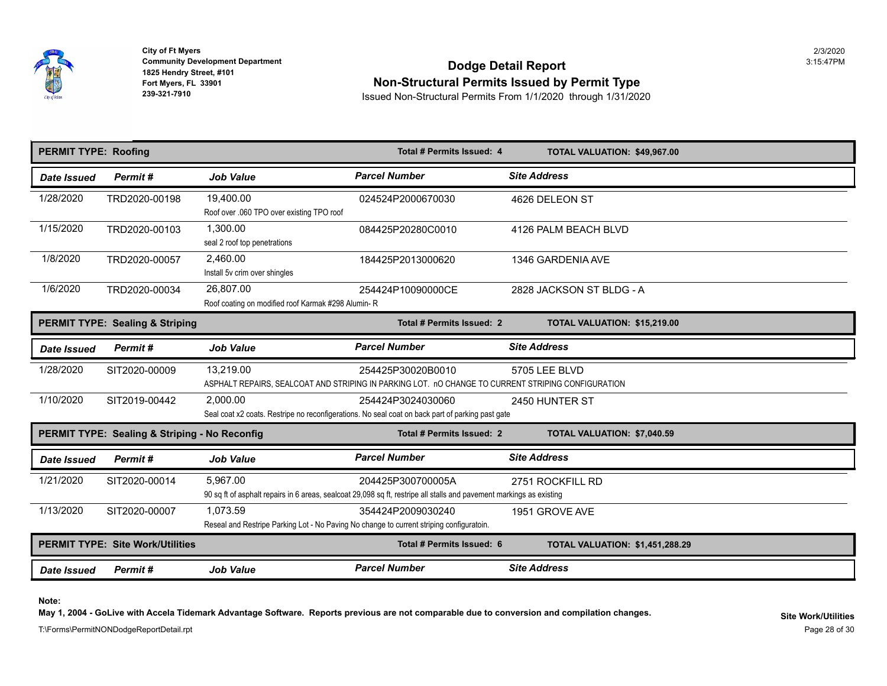

## **Community Development Department**<br>1825 Hendry Street, #101 **Non-Structural Permits Issued by Permit Type**

**239-321-7910** Issued Non-Structural Permits From 1/1/2020 through 1/31/2020

| <b>PERMIT TYPE: Roofing</b> |                                               |                                                                                          | Total # Permits Issued: 4                                                                                            | TOTAL VALUATION: \$49,967.00          |
|-----------------------------|-----------------------------------------------|------------------------------------------------------------------------------------------|----------------------------------------------------------------------------------------------------------------------|---------------------------------------|
| Date Issued                 | Permit#                                       | <b>Job Value</b>                                                                         | <b>Parcel Number</b>                                                                                                 | <b>Site Address</b>                   |
| 1/28/2020                   | TRD2020-00198                                 | 19,400.00                                                                                | 024524P2000670030                                                                                                    | 4626 DELEON ST                        |
|                             |                                               | Roof over .060 TPO over existing TPO roof                                                |                                                                                                                      |                                       |
| 1/15/2020                   | TRD2020-00103                                 | 1,300.00                                                                                 | 084425P20280C0010                                                                                                    | 4126 PALM BEACH BLVD                  |
|                             |                                               | seal 2 roof top penetrations                                                             |                                                                                                                      |                                       |
| 1/8/2020                    | TRD2020-00057                                 | 2.460.00                                                                                 | 184425P2013000620                                                                                                    | 1346 GARDENIA AVE                     |
|                             |                                               | Install 5v crim over shingles                                                            |                                                                                                                      |                                       |
| 1/6/2020                    | TRD2020-00034                                 | 26,807.00                                                                                | 254424P10090000CE                                                                                                    | 2828 JACKSON ST BLDG - A              |
|                             |                                               | Roof coating on modified roof Karmak #298 Alumin-R                                       |                                                                                                                      |                                       |
|                             | <b>PERMIT TYPE: Sealing &amp; Striping</b>    |                                                                                          | Total # Permits Issued: 2                                                                                            | TOTAL VALUATION: \$15,219.00          |
| Date Issued                 | Permit#                                       | <b>Job Value</b>                                                                         | <b>Parcel Number</b>                                                                                                 | <b>Site Address</b>                   |
| 1/28/2020                   | SIT2020-00009                                 | 13,219.00                                                                                | 254425P30020B0010                                                                                                    | 5705 LEE BLVD                         |
|                             |                                               |                                                                                          | ASPHALT REPAIRS, SEALCOAT AND STRIPING IN PARKING LOT. nO CHANGE TO CURRENT STRIPING CONFIGURATION                   |                                       |
| 1/10/2020                   | SIT2019-00442                                 | 2.000.00                                                                                 | 254424P3024030060                                                                                                    | 2450 HUNTER ST                        |
|                             |                                               |                                                                                          | Seal coat x2 coats. Restripe no reconfigerations. No seal coat on back part of parking past gate                     |                                       |
|                             | PERMIT TYPE: Sealing & Striping - No Reconfig |                                                                                          | Total # Permits Issued: 2                                                                                            | TOTAL VALUATION: \$7,040.59           |
| <b>Date Issued</b>          | Permit#                                       | <b>Job Value</b>                                                                         | <b>Parcel Number</b>                                                                                                 | <b>Site Address</b>                   |
| 1/21/2020                   | SIT2020-00014                                 | 5.967.00                                                                                 | 204425P300700005A                                                                                                    | 2751 ROCKFILL RD                      |
|                             |                                               |                                                                                          | 90 sq ft of asphalt repairs in 6 areas, sealcoat 29,098 sq ft, restripe all stalls and pavement markings as existing |                                       |
| 1/13/2020                   | SIT2020-00007                                 | 1,073.59                                                                                 | 354424P2009030240                                                                                                    | 1951 GROVE AVE                        |
|                             |                                               | Reseal and Restripe Parking Lot - No Paving No change to current striping configuratoin. |                                                                                                                      |                                       |
|                             | <b>PERMIT TYPE: Site Work/Utilities</b>       |                                                                                          | Total # Permits Issued: 6                                                                                            | <b>TOTAL VALUATION: \$1,451,288.2</b> |
| <b>Date Issued</b>          | Permit#                                       | <b>Job Value</b>                                                                         | <b>Parcel Number</b>                                                                                                 | <b>Site Address</b>                   |

**Note:** 

May 1, 2004 - GoLive with Accela Tidemark Advantage Software. Reports previous are not comparable due to conversion and compilation changes.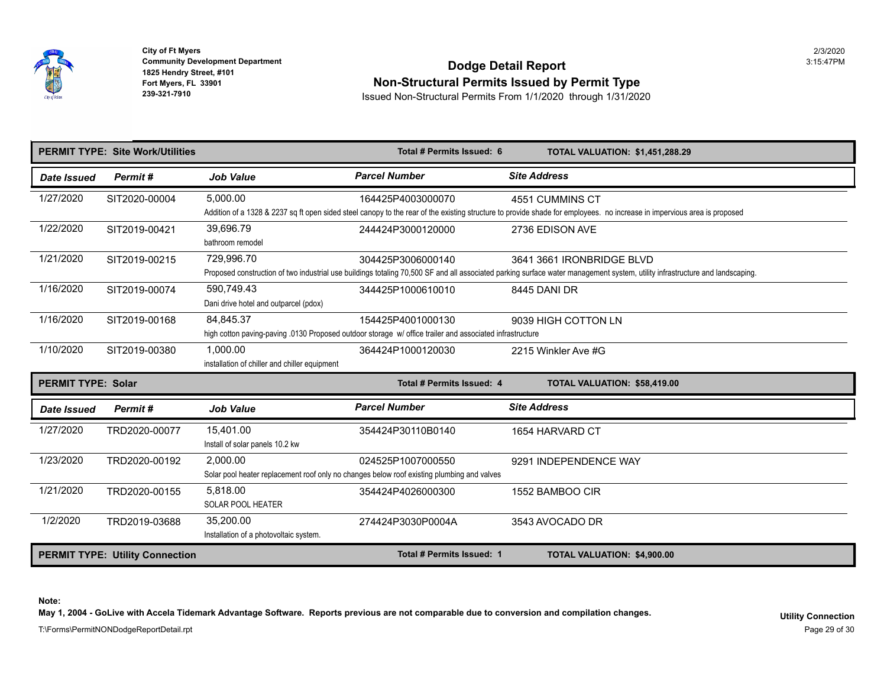

Fort Myers, FL 33901<br>239-321-7910 **City of Ft Myers** 2/3/2020

## **Community Development Department**<br>1825 Hendry Street, #101 **Dodge Detail Report Non-Structural Permits Issued by Permit Type**

**239-321-7910** Issued Non-Structural Permits From 1/1/2020 through 1/31/2020

|                           | <b>PERMIT TYPE: Site Work/Utilities</b> |                                                           | Total # Permits Issued: 6                                                                                                     | <b>TOTAL VALUATION: \$1,451,288.2</b>                                                                                                                                                |
|---------------------------|-----------------------------------------|-----------------------------------------------------------|-------------------------------------------------------------------------------------------------------------------------------|--------------------------------------------------------------------------------------------------------------------------------------------------------------------------------------|
| Date Issued               | Permit#                                 | <b>Job Value</b>                                          | <b>Parcel Number</b>                                                                                                          | <b>Site Address</b>                                                                                                                                                                  |
| 1/27/2020                 | SIT2020-00004                           | 5,000.00                                                  | 164425P4003000070                                                                                                             | 4551 CUMMINS CT<br>Addition of a 1328 & 2237 sq ft open sided steel canopy to the rear of the existing structure to provide shade for employees. no increase in impervious           |
| 1/22/2020                 | SIT2019-00421                           | 39,696.79<br>bathroom remodel                             | 244424P3000120000                                                                                                             | 2736 EDISON AVE                                                                                                                                                                      |
| 1/21/2020                 | SIT2019-00215                           | 729,996.70                                                | 304425P3006000140                                                                                                             | 3641 3661 IRONBRIDGE BLVD<br>Proposed construction of two industrial use buildings totaling 70,500 SF and all associated parking surface water management system, utility infrastruc |
| 1/16/2020                 | SIT2019-00074                           | 590,749.43<br>Dani drive hotel and outparcel (pdox)       | 344425P1000610010                                                                                                             | 8445 DANI DR                                                                                                                                                                         |
| 1/16/2020                 | SIT2019-00168                           | 84,845.37                                                 | 154425P4001000130<br>high cotton paving-paving .0130 Proposed outdoor storage w/ office trailer and associated infrastructure | 9039 HIGH COTTON LN                                                                                                                                                                  |
| 1/10/2020                 | SIT2019-00380                           | 1,000.00<br>installation of chiller and chiller equipment | 364424P1000120030                                                                                                             | 2215 Winkler Ave #G                                                                                                                                                                  |
|                           |                                         |                                                           |                                                                                                                               |                                                                                                                                                                                      |
| <b>PERMIT TYPE: Solar</b> |                                         |                                                           | Total # Permits Issued: 4                                                                                                     | TOTAL VALUATION: \$58,419.00                                                                                                                                                         |
| <b>Date Issued</b>        | Permit#                                 | <b>Job Value</b>                                          | <b>Parcel Number</b>                                                                                                          | <b>Site Address</b>                                                                                                                                                                  |
| 1/27/2020                 | TRD2020-00077                           | 15.401.00<br>Install of solar panels 10.2 kw              | 354424P30110B0140                                                                                                             | 1654 HARVARD CT                                                                                                                                                                      |
| 1/23/2020                 | TRD2020-00192                           | 2.000.00                                                  | 024525P1007000550<br>Solar pool heater replacement roof only no changes below roof existing plumbing and valves               | 9291 INDEPENDENCE WAY                                                                                                                                                                |
| 1/21/2020                 | TRD2020-00155                           | 5.818.00<br><b>SOLAR POOL HEATER</b>                      | 354424P4026000300                                                                                                             | 1552 BAMBOO CIR                                                                                                                                                                      |
| 1/2/2020                  | TRD2019-03688                           | 35.200.00<br>Installation of a photovoltaic system.       | 274424P3030P0004A                                                                                                             | 3543 AVOCADO DR                                                                                                                                                                      |

**Note:** 

May 1, 2004 - GoLive with Accela Tidemark Advantage Software. Reports previous are not comparable due to conversion and compilation changes.